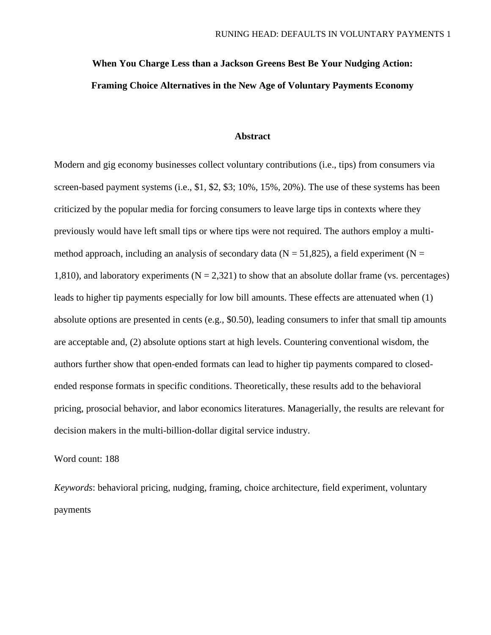# **When You Charge Less than a Jackson Greens Best Be Your Nudging Action: Framing Choice Alternatives in the New Age of Voluntary Payments Economy**

# **Abstract**

Modern and gig economy businesses collect voluntary contributions (i.e., tips) from consumers via screen-based payment systems (i.e., \$1, \$2, \$3; 10%, 15%, 20%). The use of these systems has been criticized by the popular media for forcing consumers to leave large tips in contexts where they previously would have left small tips or where tips were not required. The authors employ a multimethod approach, including an analysis of secondary data ( $N = 51,825$ ), a field experiment ( $N =$ 1,810), and laboratory experiments ( $N = 2,321$ ) to show that an absolute dollar frame (vs. percentages) leads to higher tip payments especially for low bill amounts. These effects are attenuated when (1) absolute options are presented in cents (e.g., \$0.50), leading consumers to infer that small tip amounts are acceptable and, (2) absolute options start at high levels. Countering conventional wisdom, the authors further show that open-ended formats can lead to higher tip payments compared to closedended response formats in specific conditions. Theoretically, these results add to the behavioral pricing, prosocial behavior, and labor economics literatures. Managerially, the results are relevant for decision makers in the multi-billion-dollar digital service industry.

# Word count: 188

*Keywords*: behavioral pricing, nudging, framing, choice architecture, field experiment, voluntary payments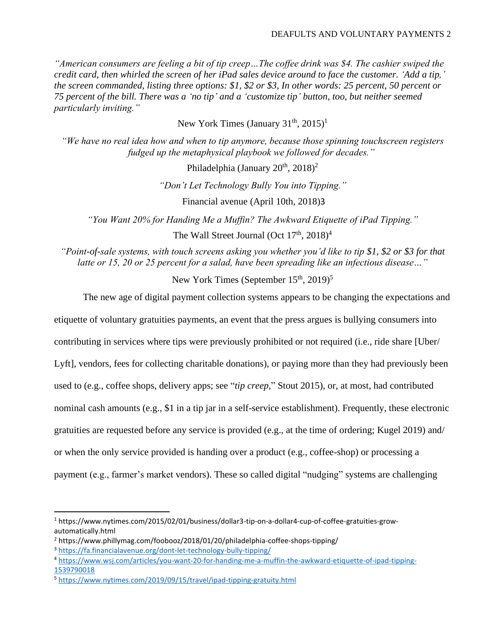*"American consumers are feeling a bit of tip creep…The coffee drink was \$4. The cashier swiped the credit card, then whirled the screen of her iPad sales device around to face the customer. 'Add a tip,' the screen commanded, listing three options: \$1, \$2 or \$3, In other words: 25 percent, 50 percent or 75 percent of the bill. There was a 'no tip' and a 'customize tip' button, too, but neither seemed particularly inviting."*

New York Times (January  $31<sup>th</sup>$ ,  $2015)<sup>1</sup>$ 

*"We have no real idea how and when to tip anymore, because those spinning touchscreen registers fudged up the metaphysical playbook we followed for decades."*

Philadelphia (January  $20^{th}$ ,  $2018$ )<sup>2</sup>

*"Don't Let Technology Bully You into Tipping."*

Financial avenue (April 10th, 2018)3

*"You Want 20% for Handing Me a Muffin? The Awkward Etiquette of iPad Tipping."*

The Wall Street Journal (Oct  $17<sup>th</sup>$ ,  $2018<sup>4</sup>$ )

*"Point-of-sale systems, with touch screens asking you whether you'd like to tip \$1, \$2 or \$3 for that latte or 15, 20 or 25 percent for a salad, have been spreading like an infectious disease…"*

New York Times (September  $15<sup>th</sup>$ , 2019)<sup>5</sup>

The new age of digital payment collection systems appears to be changing the expectations and

etiquette of voluntary gratuities payments, an event that the press argues is bullying consumers into

contributing in services where tips were previously prohibited or not required (i.e., ride share [Uber/

Lyft], vendors, fees for collecting charitable donations), or paying more than they had previously been

used to (e.g., coffee shops, delivery apps; see "*tip creep,*" Stout 2015), or, at most, had contributed

nominal cash amounts (e.g., \$1 in a tip jar in a self-service establishment). Frequently, these electronic

gratuities are requested before any service is provided (e.g., at the time of ordering; Kugel 2019) and/

or when the only service provided is handing over a product (e.g., coffee-shop) or processing a

payment (e.g., farmer's market vendors). These so called digital "nudging" systems are challenging

<sup>1</sup> https://www.nytimes.com/2015/02/01/business/dollar3-tip-on-a-dollar4-cup-of-coffee-gratuities-growautomatically.html

<sup>&</sup>lt;sup>2</sup> https://www.phillymag.com/foobooz/2018/01/20/philadelphia-coffee-shops-tipping/

<sup>3</sup> <https://fa.financialavenue.org/dont-let-technology-bully-tipping/>

<sup>4</sup> [https://www.wsj.com/articles/you-want-20-for-handing-me-a-muffin-the-awkward-etiquette-of-ipad-tipping-](https://www.wsj.com/articles/you-want-20-for-handing-me-a-muffin-the-awkward-etiquette-of-ipad-tipping-1539790018)[1539790018](https://www.wsj.com/articles/you-want-20-for-handing-me-a-muffin-the-awkward-etiquette-of-ipad-tipping-1539790018)

<sup>5</sup> <https://www.nytimes.com/2019/09/15/travel/ipad-tipping-gratuity.html>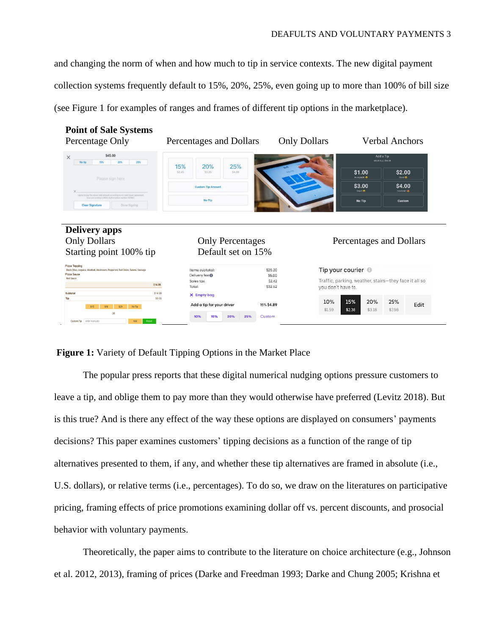and changing the norm of when and how much to tip in service contexts. The new digital payment collection systems frequently default to 15%, 20%, 25%, even going up to more than 100% of bill size (see Figure 1 for examples of ranges and frames of different tip options in the marketplace).



# **Figure 1:** Variety of Default Tipping Options in the Market Place

The popular press reports that these digital numerical nudging options pressure customers to leave a tip, and oblige them to pay more than they would otherwise have preferred (Levitz 2018). But is this true? And is there any effect of the way these options are displayed on consumers' payments decisions? This paper examines customers' tipping decisions as a function of the range of tip alternatives presented to them, if any, and whether these tip alternatives are framed in absolute (i.e., U.S. dollars), or relative terms (i.e., percentages). To do so, we draw on the literatures on participative pricing, framing effects of price promotions examining dollar off vs. percent discounts, and prosocial behavior with voluntary payments.

Theoretically, the paper aims to contribute to the literature on choice architecture (e.g., Johnson et al. 2012, 2013), framing of prices (Darke and Freedman 1993; Darke and Chung 2005; Krishna et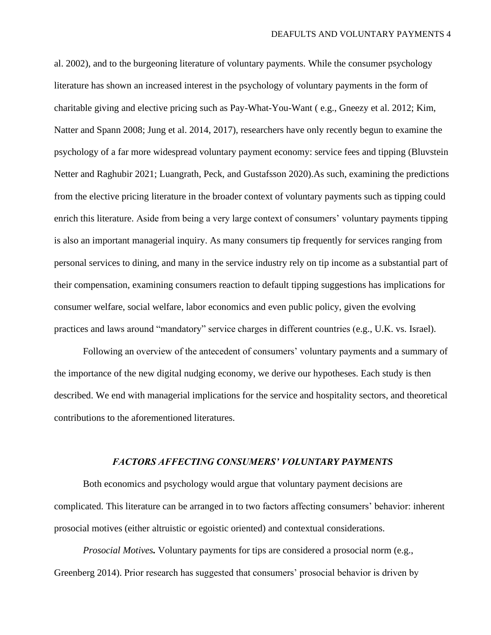al. 2002), and to the burgeoning literature of voluntary payments. While the consumer psychology literature has shown an increased interest in the psychology of voluntary payments in the form of charitable giving and elective pricing such as Pay-What-You-Want ( e.g., Gneezy et al. 2012; Kim, Natter and Spann 2008; Jung et al. 2014, 2017), researchers have only recently begun to examine the psychology of a far more widespread voluntary payment economy: service fees and tipping (Bluvstein Netter and Raghubir 2021; Luangrath, Peck, and Gustafsson 2020).As such, examining the predictions from the elective pricing literature in the broader context of voluntary payments such as tipping could enrich this literature. Aside from being a very large context of consumers' voluntary payments tipping is also an important managerial inquiry. As many consumers tip frequently for services ranging from personal services to dining, and many in the service industry rely on tip income as a substantial part of their compensation, examining consumers reaction to default tipping suggestions has implications for consumer welfare, social welfare, labor economics and even public policy, given the evolving practices and laws around "mandatory" service charges in different countries (e.g., U.K. vs. Israel).

Following an overview of the antecedent of consumers' voluntary payments and a summary of the importance of the new digital nudging economy, we derive our hypotheses. Each study is then described. We end with managerial implications for the service and hospitality sectors, and theoretical contributions to the aforementioned literatures.

### *FACTORS AFFECTING CONSUMERS' VOLUNTARY PAYMENTS*

Both economics and psychology would argue that voluntary payment decisions are complicated. This literature can be arranged in to two factors affecting consumers' behavior: inherent prosocial motives (either altruistic or egoistic oriented) and contextual considerations.

*Prosocial Motives.* Voluntary payments for tips are considered a prosocial norm (e.g., Greenberg 2014). Prior research has suggested that consumers' prosocial behavior is driven by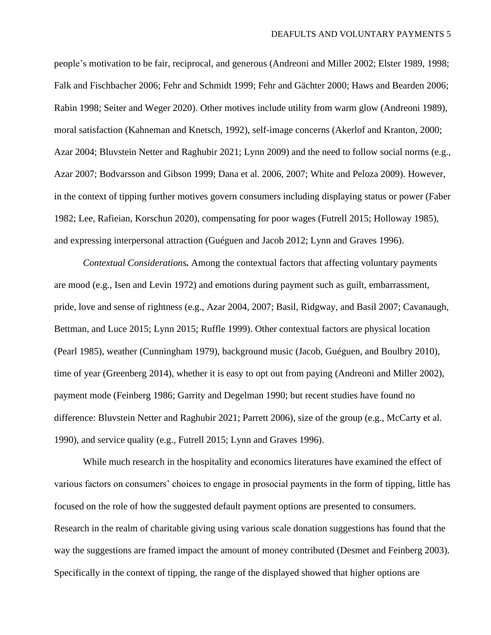people's motivation to be fair, reciprocal, and generous (Andreoni and Miller 2002; Elster 1989, 1998; Falk and Fischbacher 2006; Fehr and Schmidt 1999; Fehr and Gächter 2000; Haws and Bearden 2006; Rabin 1998; Seiter and Weger 2020). Other motives include utility from warm glow (Andreoni 1989), moral satisfaction (Kahneman and Knetsch, 1992), self-image concerns (Akerlof and Kranton, 2000; Azar 2004; Bluvstein Netter and Raghubir 2021; Lynn 2009) and the need to follow social norms (e.g., Azar 2007; Bodvarsson and Gibson 1999; Dana et al. 2006, 2007; White and Peloza 2009). However, in the context of tipping further motives govern consumers including displaying status or power (Faber 1982; Lee, Rafieian, Korschun 2020), compensating for poor wages (Futrell 2015; Holloway 1985), and expressing interpersonal attraction (Guéguen and Jacob 2012; Lynn and Graves 1996).

*Contextual Considerations.* Among the contextual factors that affecting voluntary payments are mood (e.g., Isen and Levin 1972) and emotions during payment such as guilt, embarrassment, pride, love and sense of rightness (e.g., Azar 2004, 2007; Basil, Ridgway, and Basil 2007; Cavanaugh, Bettman, and Luce 2015; Lynn 2015; Ruffle 1999). Other contextual factors are physical location (Pearl 1985), weather (Cunningham 1979), background music (Jacob, Guéguen, and Boulbry 2010), time of year (Greenberg 2014), whether it is easy to opt out from paying (Andreoni and Miller 2002), payment mode (Feinberg 1986; Garrity and Degelman 1990; but recent studies have found no difference: Bluvstein Netter and Raghubir 2021; Parrett 2006), size of the group (e.g., McCarty et al. 1990), and service quality (e.g., Futrell 2015; Lynn and Graves 1996).

While much research in the hospitality and economics literatures have examined the effect of various factors on consumers' choices to engage in prosocial payments in the form of tipping, little has focused on the role of how the suggested default payment options are presented to consumers. Research in the realm of charitable giving using various scale donation suggestions has found that the way the suggestions are framed impact the amount of money contributed (Desmet and Feinberg 2003). Specifically in the context of tipping, the range of the displayed showed that higher options are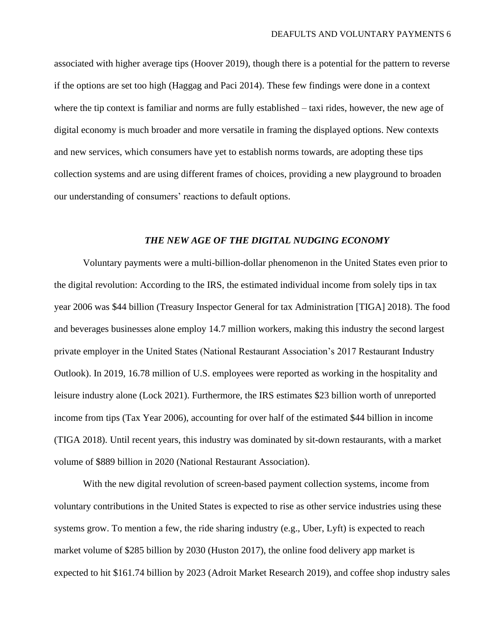associated with higher average tips (Hoover 2019), though there is a potential for the pattern to reverse if the options are set too high (Haggag and Paci 2014). These few findings were done in a context where the tip context is familiar and norms are fully established – taxi rides, however, the new age of digital economy is much broader and more versatile in framing the displayed options. New contexts and new services, which consumers have yet to establish norms towards, are adopting these tips collection systems and are using different frames of choices, providing a new playground to broaden our understanding of consumers' reactions to default options.

#### *THE NEW AGE OF THE DIGITAL NUDGING ECONOMY*

Voluntary payments were a multi-billion-dollar phenomenon in the United States even prior to the digital revolution: According to the IRS, the estimated individual income from solely tips in tax year 2006 was \$44 billion (Treasury Inspector General for tax Administration [TIGA] 2018). The food and beverages businesses alone employ 14.7 million workers, making this industry the second largest private employer in the United States (National Restaurant Association's 2017 Restaurant Industry Outlook). In 2019, 16.78 million of U.S. employees were reported as working in the hospitality and leisure industry alone (Lock 2021). Furthermore, the IRS estimates \$23 billion worth of unreported income from tips (Tax Year 2006), accounting for over half of the estimated \$44 billion in income (TIGA 2018). Until recent years, this industry was dominated by sit-down restaurants, with a market volume of \$889 billion in 2020 (National Restaurant Association).

With the new digital revolution of screen-based payment collection systems, income from voluntary contributions in the United States is expected to rise as other service industries using these systems grow. To mention a few, the ride sharing industry (e.g., Uber, Lyft) is expected to reach market volume of \$285 billion by 2030 (Huston 2017), the online food delivery app market is expected to hit \$161.74 billion by 2023 (Adroit Market Research 2019), and coffee shop industry sales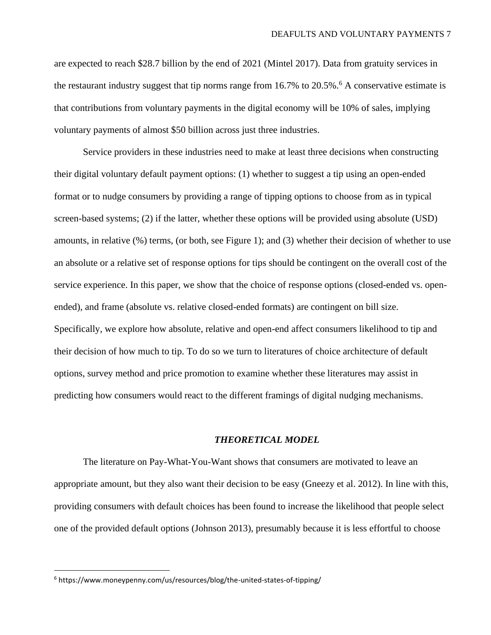are expected to reach \$28.7 billion by the end of 2021 (Mintel 2017). Data from gratuity services in the restaurant industry suggest that tip norms range from  $16.7\%$  to  $20.5\%$ .<sup>6</sup> A conservative estimate is that contributions from voluntary payments in the digital economy will be 10% of sales, implying voluntary payments of almost \$50 billion across just three industries.

Service providers in these industries need to make at least three decisions when constructing their digital voluntary default payment options: (1) whether to suggest a tip using an open-ended format or to nudge consumers by providing a range of tipping options to choose from as in typical screen-based systems; (2) if the latter, whether these options will be provided using absolute (USD) amounts, in relative (%) terms, (or both, see Figure 1); and (3) whether their decision of whether to use an absolute or a relative set of response options for tips should be contingent on the overall cost of the service experience. In this paper, we show that the choice of response options (closed-ended vs. openended), and frame (absolute vs. relative closed-ended formats) are contingent on bill size. Specifically, we explore how absolute, relative and open-end affect consumers likelihood to tip and their decision of how much to tip. To do so we turn to literatures of choice architecture of default options, survey method and price promotion to examine whether these literatures may assist in predicting how consumers would react to the different framings of digital nudging mechanisms.

#### *THEORETICAL MODEL*

The literature on Pay-What-You-Want shows that consumers are motivated to leave an appropriate amount, but they also want their decision to be easy (Gneezy et al. 2012). In line with this, providing consumers with default choices has been found to increase the likelihood that people select one of the provided default options (Johnson 2013), presumably because it is less effortful to choose

<sup>6</sup> https://www.moneypenny.com/us/resources/blog/the-united-states-of-tipping/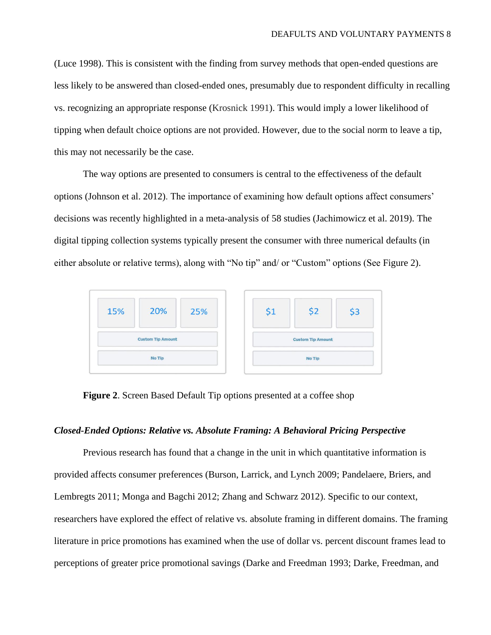(Luce 1998). This is consistent with the finding from survey methods that open-ended questions are less likely to be answered than closed-ended ones, presumably due to respondent difficulty in recalling vs. recognizing an appropriate response (Krosnick 1991). This would imply a lower likelihood of tipping when default choice options are not provided. However, due to the social norm to leave a tip, this may not necessarily be the case.

The way options are presented to consumers is central to the effectiveness of the default options (Johnson et al. [2012\)](https://link.springer.com/article/10.1007/s12599-016-0453-1#ref-CR8). The importance of examining how default options affect consumers' decisions was recently highlighted in a meta-analysis of 58 studies (Jachimowicz et al. 2019). The digital tipping collection systems typically present the consumer with three numerical defaults (in either absolute or relative terms), along with "No tip" and/ or "Custom" options (See Figure 2).

| 20%<br>15%<br>25%        | \$1                      | \$2 | \$3 |
|--------------------------|--------------------------|-----|-----|
| <b>Custom Tip Amount</b> | <b>Custom Tip Amount</b> |     |     |
| No Tip                   | No Tip                   |     |     |

**Figure 2**. Screen Based Default Tip options presented at a coffee shop

#### *Closed-Ended Options: Relative vs. Absolute Framing: A Behavioral Pricing Perspective*

Previous research has found that a change in the unit in which quantitative information is provided affects consumer preferences (Burson, Larrick, and Lynch 2009; Pandelaere, Briers, and Lembregts 2011; Monga and Bagchi 2012; Zhang and Schwarz 2012). Specific to our context, researchers have explored the effect of relative vs. absolute framing in different domains. The framing literature in price promotions has examined when the use of dollar vs. percent discount frames lead to perceptions of greater price promotional savings (Darke and Freedman 1993; Darke, Freedman, and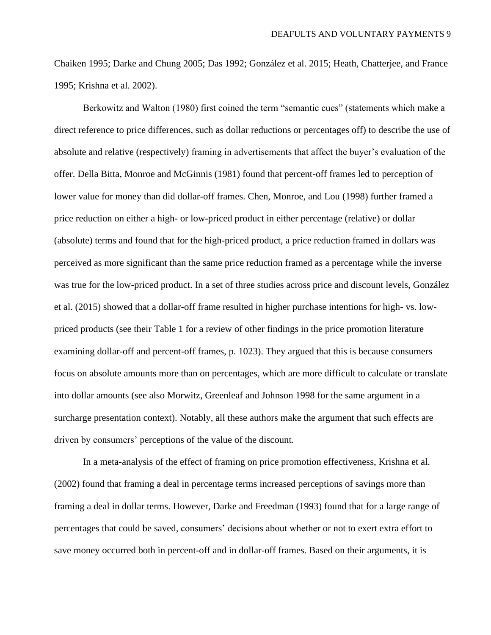Chaiken 1995; Darke and Chung 2005; Das 1992; González et al. 2015; Heath, Chatterjee, and France 1995; Krishna et al. 2002).

Berkowitz and Walton (1980) first coined the term "semantic cues" (statements which make a direct reference to price differences, such as dollar reductions or percentages off) to describe the use of absolute and relative (respectively) framing in advertisements that affect the buyer's evaluation of the offer. Della Bitta, Monroe and McGinnis (1981) found that percent-off frames led to perception of lower value for money than did dollar-off frames. Chen, Monroe, and Lou (1998) further framed a price reduction on either a high- or low-priced product in either percentage (relative) or dollar (absolute) terms and found that for the high-priced product, a price reduction framed in dollars was perceived as more significant than the same price reduction framed as a percentage while the inverse was true for the low-priced product. In a set of three studies across price and discount levels, González et al. (2015) showed that a dollar-off frame resulted in higher purchase intentions for high- vs. lowpriced products (see their Table 1 for a review of other findings in the price promotion literature examining dollar-off and percent-off frames, p. 1023). They argued that this is because consumers focus on absolute amounts more than on percentages, which are more difficult to calculate or translate into dollar amounts (see also Morwitz, Greenleaf and Johnson 1998 for the same argument in a surcharge presentation context). Notably, all these authors make the argument that such effects are driven by consumers' perceptions of the value of the discount.

In a meta-analysis of the effect of framing on price promotion effectiveness, Krishna et al. (2002) found that framing a deal in percentage terms increased perceptions of savings more than framing a deal in dollar terms. However, Darke and Freedman (1993) found that for a large range of percentages that could be saved, consumers' decisions about whether or not to exert extra effort to save money occurred both in percent-off and in dollar-off frames. Based on their arguments, it is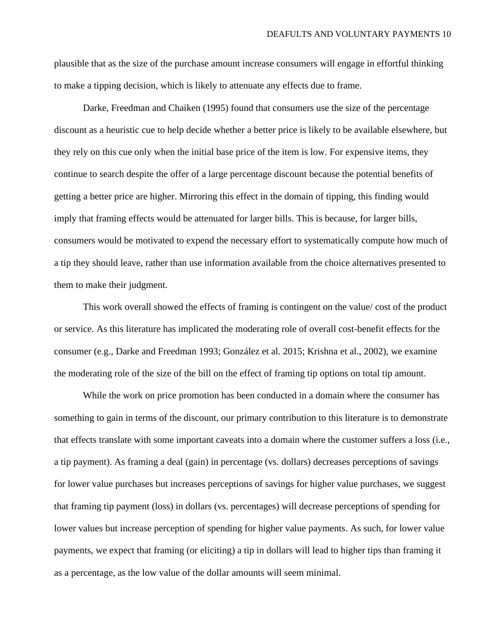plausible that as the size of the purchase amount increase consumers will engage in effortful thinking to make a tipping decision, which is likely to attenuate any effects due to frame.

Darke, Freedman and Chaiken (1995) found that consumers use the size of the percentage discount as a heuristic cue to help decide whether a better price is likely to be available elsewhere, but they rely on this cue only when the initial base price of the item is low. For expensive items, they continue to search despite the offer of a large percentage discount because the potential benefits of getting a better price are higher. Mirroring this effect in the domain of tipping, this finding would imply that framing effects would be attenuated for larger bills. This is because, for larger bills, consumers would be motivated to expend the necessary effort to systematically compute how much of a tip they should leave, rather than use information available from the choice alternatives presented to them to make their judgment.

This work overall showed the effects of framing is contingent on the value/ cost of the product or service. As this literature has implicated the moderating role of overall cost-benefit effects for the consumer (e.g., Darke and Freedman 1993; González et al. 2015; Krishna et al., 2002), we examine the moderating role of the size of the bill on the effect of framing tip options on total tip amount.

While the work on price promotion has been conducted in a domain where the consumer has something to gain in terms of the discount, our primary contribution to this literature is to demonstrate that effects translate with some important caveats into a domain where the customer suffers a loss (i.e., a tip payment). As framing a deal (gain) in percentage (vs. dollars) decreases perceptions of savings for lower value purchases but increases perceptions of savings for higher value purchases, we suggest that framing tip payment (loss) in dollars (vs. percentages) will decrease perceptions of spending for lower values but increase perception of spending for higher value payments. As such, for lower value payments, we expect that framing (or eliciting) a tip in dollars will lead to higher tips than framing it as a percentage, as the low value of the dollar amounts will seem minimal.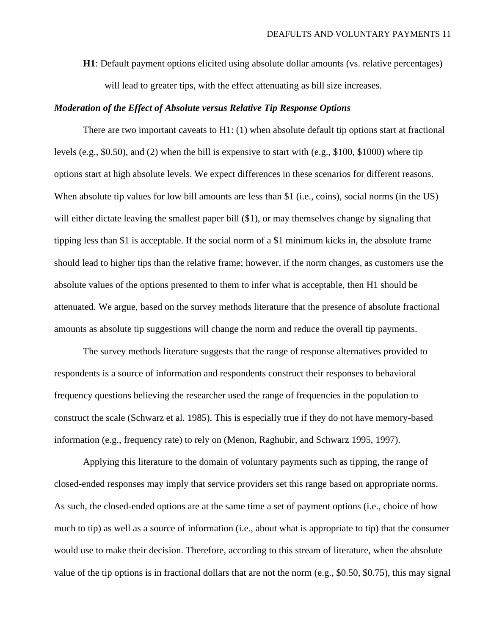**H1**: Default payment options elicited using absolute dollar amounts (vs. relative percentages) will lead to greater tips, with the effect attenuating as bill size increases.

### *Moderation of the Effect of Absolute versus Relative Tip Response Options*

There are two important caveats to H1: (1) when absolute default tip options start at fractional levels (e.g., \$0.50), and (2) when the bill is expensive to start with (e.g., \$100, \$1000) where tip options start at high absolute levels. We expect differences in these scenarios for different reasons. When absolute tip values for low bill amounts are less than \$1 (i.e., coins), social norms (in the US) will either dictate leaving the smallest paper bill (\$1), or may themselves change by signaling that tipping less than \$1 is acceptable. If the social norm of a \$1 minimum kicks in, the absolute frame should lead to higher tips than the relative frame; however, if the norm changes, as customers use the absolute values of the options presented to them to infer what is acceptable, then H1 should be attenuated. We argue, based on the survey methods literature that the presence of absolute fractional amounts as absolute tip suggestions will change the norm and reduce the overall tip payments.

The survey methods literature suggests that the range of response alternatives provided to respondents is a source of information and respondents construct their responses to behavioral frequency questions believing the researcher used the range of frequencies in the population to construct the scale (Schwarz et al. 1985). This is especially true if they do not have memory-based information (e.g., frequency rate) to rely on (Menon, Raghubir, and Schwarz 1995, 1997).

Applying this literature to the domain of voluntary payments such as tipping, the range of closed-ended responses may imply that service providers set this range based on appropriate norms. As such, the closed-ended options are at the same time a set of payment options (i.e., choice of how much to tip) as well as a source of information (i.e., about what is appropriate to tip) that the consumer would use to make their decision. Therefore, according to this stream of literature, when the absolute value of the tip options is in fractional dollars that are not the norm (e.g., \$0.50, \$0.75), this may signal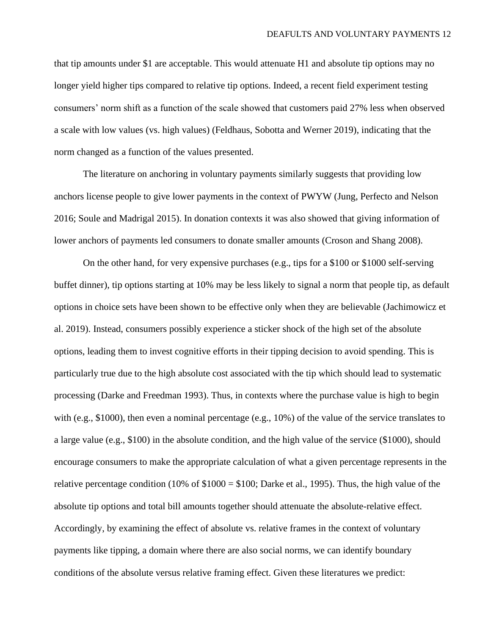that tip amounts under \$1 are acceptable. This would attenuate H1 and absolute tip options may no longer yield higher tips compared to relative tip options. Indeed, a recent field experiment testing consumers' norm shift as a function of the scale showed that customers paid 27% less when observed a scale with low values (vs. high values) (Feldhaus, Sobotta and Werner 2019), indicating that the norm changed as a function of the values presented.

The literature on anchoring in voluntary payments similarly suggests that providing low anchors license people to give lower payments in the context of PWYW (Jung, Perfecto and Nelson 2016; Soule and Madrigal 2015). In donation contexts it was also showed that giving information of lower anchors of payments led consumers to donate smaller amounts (Croson and Shang 2008).

On the other hand, for very expensive purchases (e.g., tips for a \$100 or \$1000 self-serving buffet dinner), tip options starting at 10% may be less likely to signal a norm that people tip, as default options in choice sets have been shown to be effective only when they are believable (Jachimowicz et al. 2019). Instead, consumers possibly experience a sticker shock of the high set of the absolute options, leading them to invest cognitive efforts in their tipping decision to avoid spending. This is particularly true due to the high absolute cost associated with the tip which should lead to systematic processing (Darke and Freedman 1993). Thus, in contexts where the purchase value is high to begin with (e.g., \$1000), then even a nominal percentage (e.g., 10%) of the value of the service translates to a large value (e.g., \$100) in the absolute condition, and the high value of the service (\$1000), should encourage consumers to make the appropriate calculation of what a given percentage represents in the relative percentage condition (10% of  $$1000 = $100$ ; Darke et al., 1995). Thus, the high value of the absolute tip options and total bill amounts together should attenuate the absolute-relative effect. Accordingly, by examining the effect of absolute vs. relative frames in the context of voluntary payments like tipping, a domain where there are also social norms, we can identify boundary conditions of the absolute versus relative framing effect. Given these literatures we predict: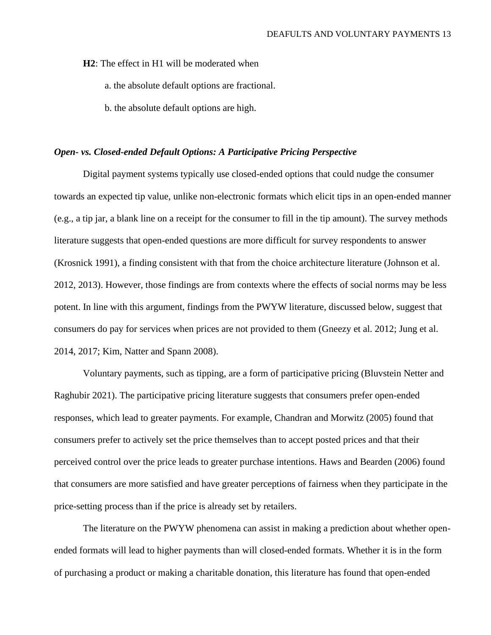**H2**: The effect in H1 will be moderated when

a. the absolute default options are fractional.

b. the absolute default options are high.

## *Open- vs. Closed-ended Default Options: A Participative Pricing Perspective*

Digital payment systems typically use closed-ended options that could nudge the consumer towards an expected tip value, unlike non-electronic formats which elicit tips in an open-ended manner (e.g., a tip jar, a blank line on a receipt for the consumer to fill in the tip amount). The survey methods literature suggests that open-ended questions are more difficult for survey respondents to answer (Krosnick 1991), a finding consistent with that from the choice architecture literature (Johnson et al. 2012, 2013). However, those findings are from contexts where the effects of social norms may be less potent. In line with this argument, findings from the PWYW literature, discussed below, suggest that consumers do pay for services when prices are not provided to them (Gneezy et al. 2012; Jung et al. 2014, 2017; Kim, Natter and Spann 2008).

Voluntary payments, such as tipping, are a form of participative pricing (Bluvstein Netter and Raghubir 2021). The participative pricing literature suggests that consumers prefer open-ended responses, which lead to greater payments. For example, Chandran and Morwitz (2005) found that consumers prefer to actively set the price themselves than to accept posted prices and that their perceived control over the price leads to greater purchase intentions. Haws and Bearden (2006) found that consumers are more satisfied and have greater perceptions of fairness when they participate in the price-setting process than if the price is already set by retailers.

The literature on the PWYW phenomena can assist in making a prediction about whether openended formats will lead to higher payments than will closed-ended formats. Whether it is in the form of purchasing a product or making a charitable donation, this literature has found that open-ended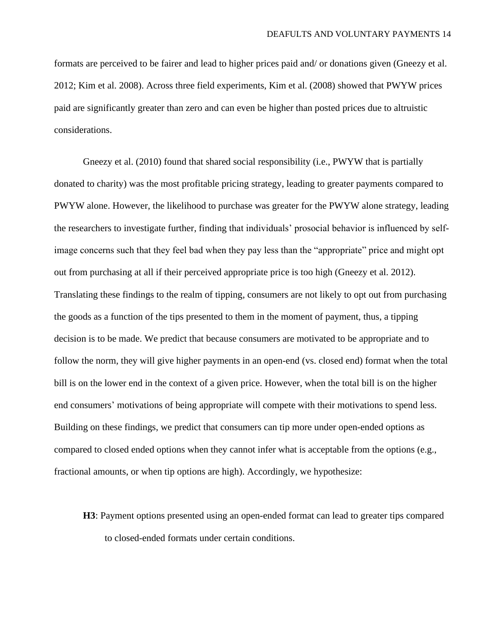formats are perceived to be fairer and lead to higher prices paid and/ or donations given (Gneezy et al. 2012; Kim et al. 2008). Across three field experiments, Kim et al. (2008) showed that PWYW prices paid are significantly greater than zero and can even be higher than posted prices due to altruistic considerations.

Gneezy et al. (2010) found that shared social responsibility (i.e., PWYW that is partially donated to charity) was the most profitable pricing strategy, leading to greater payments compared to PWYW alone. However, the likelihood to purchase was greater for the PWYW alone strategy, leading the researchers to investigate further, finding that individuals' prosocial behavior is influenced by selfimage concerns such that they feel bad when they pay less than the "appropriate" price and might opt out from purchasing at all if their perceived appropriate price is too high (Gneezy et al. 2012). Translating these findings to the realm of tipping, consumers are not likely to opt out from purchasing the goods as a function of the tips presented to them in the moment of payment, thus, a tipping decision is to be made. We predict that because consumers are motivated to be appropriate and to follow the norm, they will give higher payments in an open-end (vs. closed end) format when the total bill is on the lower end in the context of a given price. However, when the total bill is on the higher end consumers' motivations of being appropriate will compete with their motivations to spend less. Building on these findings, we predict that consumers can tip more under open-ended options as compared to closed ended options when they cannot infer what is acceptable from the options (e.g., fractional amounts, or when tip options are high). Accordingly, we hypothesize:

**H3**: Payment options presented using an open-ended format can lead to greater tips compared to closed-ended formats under certain conditions.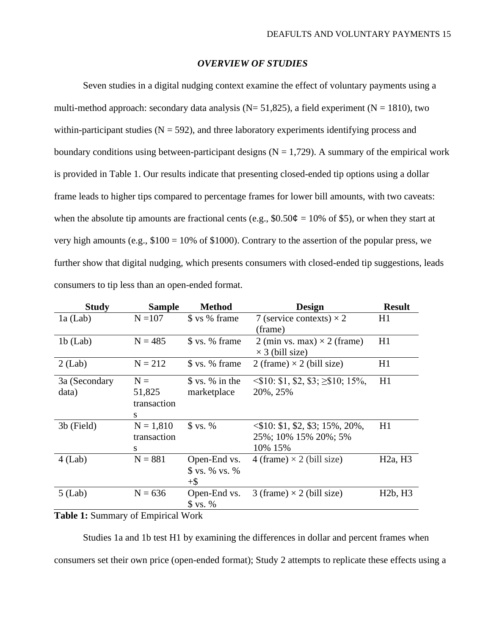# *OVERVIEW OF STUDIES*

Seven studies in a digital nudging context examine the effect of voluntary payments using a multi-method approach: secondary data analysis ( $N = 51,825$ ), a field experiment ( $N = 1810$ ), two within-participant studies  $(N = 592)$ , and three laboratory experiments identifying process and boundary conditions using between-participant designs  $(N = 1,729)$ . A summary of the empirical work is provided in Table 1. Our results indicate that presenting closed-ended tip options using a dollar frame leads to higher tips compared to percentage frames for lower bill amounts, with two caveats: when the absolute tip amounts are fractional cents (e.g.,  $$0.50¢ = 10\%$  of \$5), or when they start at very high amounts (e.g.,  $$100 = 10\%$  of  $$1000$ ). Contrary to the assertion of the popular press, we further show that digital nudging, which presents consumers with closed-ended tip suggestions, leads consumers to tip less than an open-ended format.

| <b>Study</b>  | <b>Sample</b> | <b>Method</b>   | <b>Design</b>                                 | <b>Result</b>                    |
|---------------|---------------|-----------------|-----------------------------------------------|----------------------------------|
| $1a$ (Lab)    | $N = 107$     | \$ vs % frame   | 7 (service contexts) $\times$ 2               | H1                               |
|               |               |                 | (frame)                                       |                                  |
| $1b$ (Lab)    | $N = 485$     | \$ vs. % frame  | 2 (min vs. max) $\times$ 2 (frame)            | H1                               |
|               |               |                 | $\times$ 3 (bill size)                        |                                  |
| $2$ (Lab)     | $N = 212$     | \$ vs. % frame  | 2 (frame) $\times$ 2 (bill size)              | H1                               |
|               |               | \$ vs. % in the | $\leq$ \$10: \$1, \$2, \$3; $\geq$ \$10; 15%, | H1                               |
| 3a (Secondary | $N =$         |                 |                                               |                                  |
| data)         | 51,825        | marketplace     | 20%, 25%                                      |                                  |
|               | transaction   |                 |                                               |                                  |
|               | S             |                 |                                               |                                  |
| 3b (Field)    | $N = 1,810$   | \$ vs. %        | $\langle $10: $1, $2, $3; 15\%, 20\%,$        | H1                               |
|               | transaction   |                 | 25%; 10% 15% 20%; 5%                          |                                  |
|               | S             |                 | 10% 15%                                       |                                  |
| $4$ (Lab)     | $N = 881$     | Open-End vs.    | 4 (frame) $\times$ 2 (bill size)              | H <sub>2a</sub> , H <sub>3</sub> |
|               |               | \$ vs. % vs. %  |                                               |                                  |
|               |               | $+$ \$          |                                               |                                  |
| $5$ (Lab)     | $N = 636$     | Open-End vs.    | 3 (frame) $\times$ 2 (bill size)              | H2b, H3                          |
|               |               | \$ vs. %        |                                               |                                  |

# **Table 1:** Summary of Empirical Work

Studies 1a and 1b test H1 by examining the differences in dollar and percent frames when consumers set their own price (open-ended format); Study 2 attempts to replicate these effects using a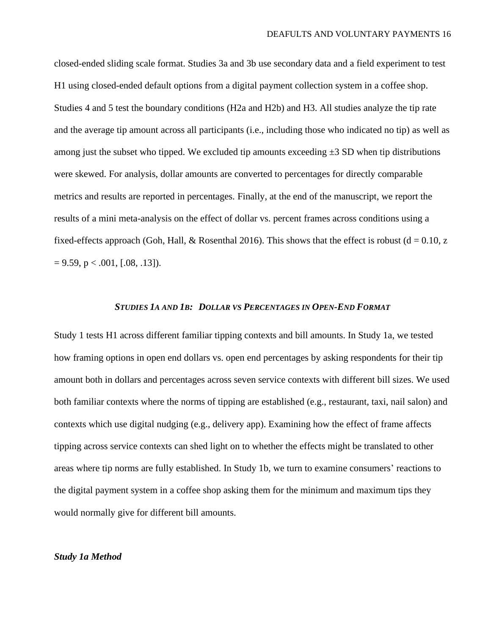closed-ended sliding scale format. Studies 3a and 3b use secondary data and a field experiment to test H1 using closed-ended default options from a digital payment collection system in a coffee shop. Studies 4 and 5 test the boundary conditions (H2a and H2b) and H3. All studies analyze the tip rate and the average tip amount across all participants (i.e., including those who indicated no tip) as well as among just the subset who tipped. We excluded tip amounts exceeding  $\pm 3$  SD when tip distributions were skewed. For analysis, dollar amounts are converted to percentages for directly comparable metrics and results are reported in percentages. Finally, at the end of the manuscript, we report the results of a mini meta-analysis on the effect of dollar vs. percent frames across conditions using a fixed-effects approach (Goh, Hall,  $\&$  Rosenthal 2016). This shows that the effect is robust (d = 0.10, z  $= 9.59$ , p < .001, [.08, .13]).

#### *STUDIES 1A AND 1B: DOLLAR VS PERCENTAGES IN OPEN-END FORMAT*

Study 1 tests H1 across different familiar tipping contexts and bill amounts. In Study 1a, we tested how framing options in open end dollars vs. open end percentages by asking respondents for their tip amount both in dollars and percentages across seven service contexts with different bill sizes. We used both familiar contexts where the norms of tipping are established (e.g., restaurant, taxi, nail salon) and contexts which use digital nudging (e.g., delivery app). Examining how the effect of frame affects tipping across service contexts can shed light on to whether the effects might be translated to other areas where tip norms are fully established. In Study 1b, we turn to examine consumers' reactions to the digital payment system in a coffee shop asking them for the minimum and maximum tips they would normally give for different bill amounts.

# *Study 1a Method*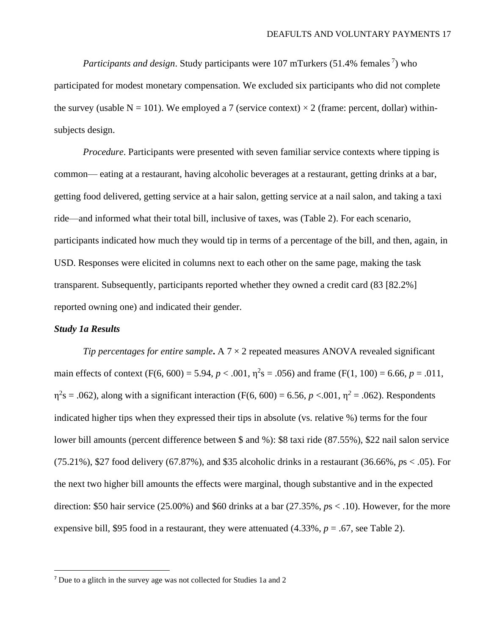*Participants and design*. Study participants were 107 mTurkers (51.4% females<sup>7</sup>) who participated for modest monetary compensation. We excluded six participants who did not complete the survey (usable N = 101). We employed a 7 (service context)  $\times$  2 (frame: percent, dollar) withinsubjects design.

*Procedure*. Participants were presented with seven familiar service contexts where tipping is common— eating at a restaurant, having alcoholic beverages at a restaurant, getting drinks at a bar, getting food delivered, getting service at a hair salon, getting service at a nail salon, and taking a taxi ride—and informed what their total bill, inclusive of taxes, was (Table 2). For each scenario, participants indicated how much they would tip in terms of a percentage of the bill, and then, again, in USD. Responses were elicited in columns next to each other on the same page, making the task transparent. Subsequently, participants reported whether they owned a credit card (83 [82.2%] reported owning one) and indicated their gender.

# *Study 1a Results*

*Tip percentages for entire sample***.** A 7 × 2 repeated measures ANOVA revealed significant main effects of context  $(F(6, 600) = 5.94, p < .001, \eta^2 s = .056)$  and frame  $(F(1, 100) = 6.66, p = .011,$  $\eta^2$ s = .062), along with a significant interaction (F(6, 600) = 6.56, *p* <.001,  $\eta^2$  = .062). Respondents indicated higher tips when they expressed their tips in absolute (vs. relative %) terms for the four lower bill amounts (percent difference between \$ and %): \$8 taxi ride (87.55%), \$22 nail salon service (75.21%), \$27 food delivery (67.87%), and \$35 alcoholic drinks in a restaurant (36.66%, *p*s < .05). For the next two higher bill amounts the effects were marginal, though substantive and in the expected direction: \$50 hair service (25.00%) and \$60 drinks at a bar (27.35%, *p*s < .10). However, for the more expensive bill, \$95 food in a restaurant, they were attenuated  $(4.33\%, p = .67)$ , see Table 2).

<sup>7</sup> Due to a glitch in the survey age was not collected for Studies 1a and 2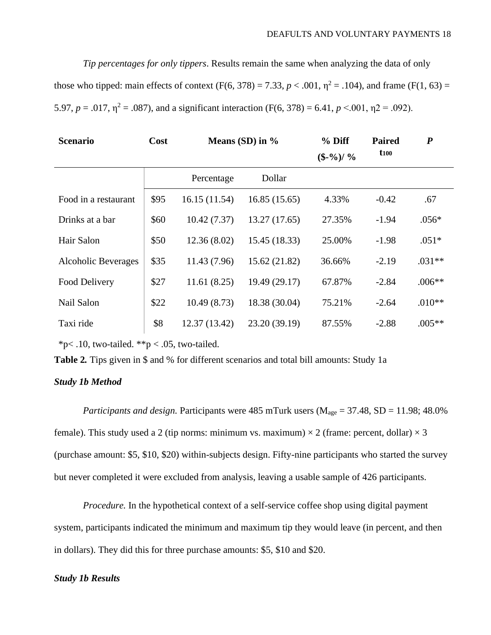*Tip percentages for only tippers*. Results remain the same when analyzing the data of only

those who tipped: main effects of context (F(6, 378) = 7.33,  $p < .001$ ,  $\eta^2 = .104$ ), and frame (F(1, 63) = 5.97,  $p = .017$ ,  $\eta^2 = .087$ ), and a significant interaction (F(6, 378) = 6.41,  $p < .001$ ,  $\eta^2 = .092$ ).

| <b>Scenario</b>      | Cost | Means $(SD)$ in $\%$ |               | $%$ Diff<br>$(\$ -\%) / \%$ | <b>Paired</b><br>$t_{100}$ | $\boldsymbol{P}$ |
|----------------------|------|----------------------|---------------|-----------------------------|----------------------------|------------------|
|                      |      | Percentage           | Dollar        |                             |                            |                  |
| Food in a restaurant | \$95 | 16.15(11.54)         | 16.85(15.65)  | 4.33%                       | $-0.42$                    | .67              |
| Drinks at a bar      | \$60 | 10.42(7.37)          | 13.27 (17.65) | 27.35%                      | $-1.94$                    | $.056*$          |
| Hair Salon           | \$50 | 12.36(8.02)          | 15.45 (18.33) | 25.00%                      | $-1.98$                    | $.051*$          |
| Alcoholic Beverages  | \$35 | 11.43 (7.96)         | 15.62(21.82)  | 36.66%                      | $-2.19$                    | $.031**$         |
| Food Delivery        | \$27 | 11.61(8.25)          | 19.49 (29.17) | 67.87%                      | $-2.84$                    | $.006**$         |
| Nail Salon           | \$22 | 10.49(8.73)          | 18.38 (30.04) | 75.21%                      | $-2.64$                    | $.010**$         |
| Taxi ride            | \$8  | 12.37(13.42)         | 23.20 (39.19) | 87.55%                      | $-2.88$                    | $.005**$         |

 $*p$ < .10, two-tailed.  $*p$  < .05, two-tailed.

**Table 2***.* Tips given in \$ and % for different scenarios and total bill amounts: Study 1a

# *Study 1b Method*

*Participants and design.* Participants were 485 mTurk users ( $M_{\text{age}} = 37.48$ , SD = 11.98; 48.0% female). This study used a 2 (tip norms: minimum vs. maximum)  $\times$  2 (frame: percent, dollar)  $\times$  3 (purchase amount: \$5, \$10, \$20) within-subjects design. Fifty-nine participants who started the survey but never completed it were excluded from analysis, leaving a usable sample of 426 participants.

*Procedure.* In the hypothetical context of a self-service coffee shop using digital payment system, participants indicated the minimum and maximum tip they would leave (in percent, and then in dollars). They did this for three purchase amounts: \$5, \$10 and \$20.

# *Study 1b Results*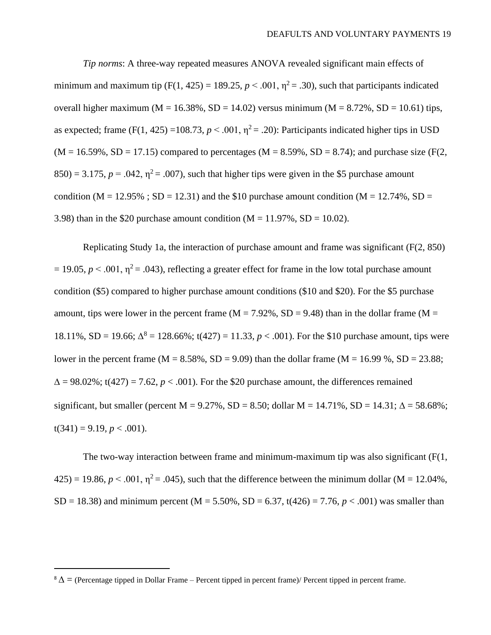*Tip norms*: A three-way repeated measures ANOVA revealed significant main effects of minimum and maximum tip (F(1, 425) = 189.25,  $p < .001$ ,  $\eta^2 = .30$ ), such that participants indicated overall higher maximum ( $M = 16.38\%$ ,  $SD = 14.02$ ) versus minimum ( $M = 8.72\%$ ,  $SD = 10.61$ ) tips, as expected; frame (F(1, 425) =108.73,  $p < .001$ ,  $\eta^2 = .20$ ): Participants indicated higher tips in USD  $(M = 16.59\%, SD = 17.15)$  compared to percentages  $(M = 8.59\%, SD = 8.74)$ ; and purchase size (F(2,  $850$ ) = 3.175,  $p = .042$ ,  $\eta^2$  = .007), such that higher tips were given in the \$5 purchase amount condition (M = 12.95%; SD = 12.31) and the \$10 purchase amount condition (M = 12.74%, SD = 3.98) than in the \$20 purchase amount condition  $(M = 11.97\% , SD = 10.02)$ .

Replicating Study 1a, the interaction of purchase amount and frame was significant (F(2, 850)  $= 19.05, p \le 0.001, \eta^2 = 0.043$ , reflecting a greater effect for frame in the low total purchase amount condition (\$5) compared to higher purchase amount conditions (\$10 and \$20). For the \$5 purchase amount, tips were lower in the percent frame ( $M = 7.92\%$ , SD = 9.48) than in the dollar frame ( $M =$ 18.11%, SD = 19.66;  $\Delta^8$  = 128.66%; t(427) = 11.33,  $p < .001$ ). For the \$10 purchase amount, tips were lower in the percent frame (M =  $8.58\%$ , SD =  $9.09$ ) than the dollar frame (M =  $16.99\%$ , SD =  $23.88$ ;  $\Delta = 98.02\%$ ; t(427) = 7.62, *p* < .001). For the \$20 purchase amount, the differences remained significant, but smaller (percent M = 9.27%, SD = 8.50; dollar M = 14.71%, SD = 14.31;  $\Delta$  = 58.68%;  $t(341) = 9.19, p < .001$ ).

The two-way interaction between frame and minimum-maximum tip was also significant  $(F(1,$  $(425) = 19.86, p < .001, \eta^2 = .045)$ , such that the difference between the minimum dollar (M = 12.04%, SD = 18.38) and minimum percent (M = 5.50%, SD = 6.37, t(426) = 7.76,  $p < .001$ ) was smaller than

 $8 \Delta$  = (Percentage tipped in Dollar Frame – Percent tipped in percent frame)/ Percent tipped in percent frame.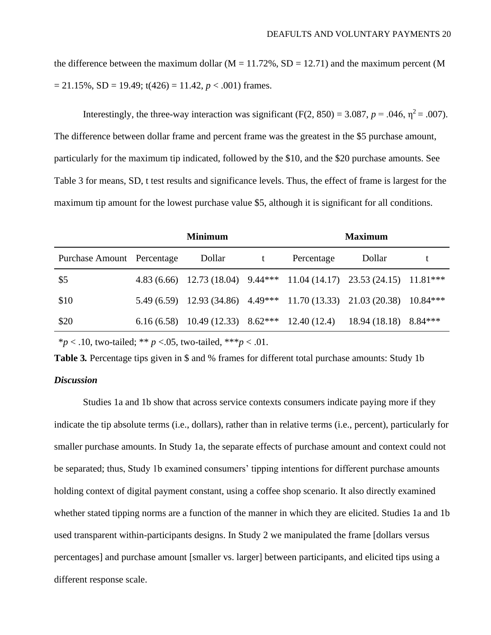the difference between the maximum dollar ( $M = 11.72\%$ , SD = 12.71) and the maximum percent (M  $= 21.15\%$ , SD = 19.49; t(426) = 11.42, *p* < .001) frames.

Interestingly, the three-way interaction was significant  $(F(2, 850) = 3.087, p = .046, \eta^2 = .007)$ . The difference between dollar frame and percent frame was the greatest in the \$5 purchase amount, particularly for the maximum tip indicated, followed by the \$10, and the \$20 purchase amounts. See Table 3 for means, SD, t test results and significance levels. Thus, the effect of frame is largest for the maximum tip amount for the lowest purchase value \$5, although it is significant for all conditions.

|                            | <b>Minimum</b> |        |  | <b>Maximum</b> |                                                                        |  |
|----------------------------|----------------|--------|--|----------------|------------------------------------------------------------------------|--|
| Purchase Amount Percentage |                | Dollar |  | Percentage     | Dollar                                                                 |  |
| \$5                        |                |        |  |                | 4.83 (6.66) 12.73 (18.04) 9.44*** 11.04 (14.17) 23.53 (24.15) 11.81*** |  |
| \$10                       |                |        |  |                | 5.49 (6.59) 12.93 (34.86) 4.49*** 11.70 (13.33) 21.03 (20.38) 10.84*** |  |
| \$20                       |                |        |  |                | 6.16 (6.58) 10.49 (12.33) 8.62*** 12.40 (12.4) 18.94 (18.18) 8.84***   |  |
|                            |                |        |  |                |                                                                        |  |

\**p* < .10, two-tailed; \*\* *p* <.05, two-tailed, \*\*\**p* < .01.

**Table 3***.* Percentage tips given in \$ and % frames for different total purchase amounts: Study 1b

# *Discussion*

Studies 1a and 1b show that across service contexts consumers indicate paying more if they indicate the tip absolute terms (i.e., dollars), rather than in relative terms (i.e., percent), particularly for smaller purchase amounts. In Study 1a, the separate effects of purchase amount and context could not be separated; thus, Study 1b examined consumers' tipping intentions for different purchase amounts holding context of digital payment constant, using a coffee shop scenario. It also directly examined whether stated tipping norms are a function of the manner in which they are elicited. Studies 1a and 1b used transparent within-participants designs. In Study 2 we manipulated the frame [dollars versus percentages] and purchase amount [smaller vs. larger] between participants, and elicited tips using a different response scale.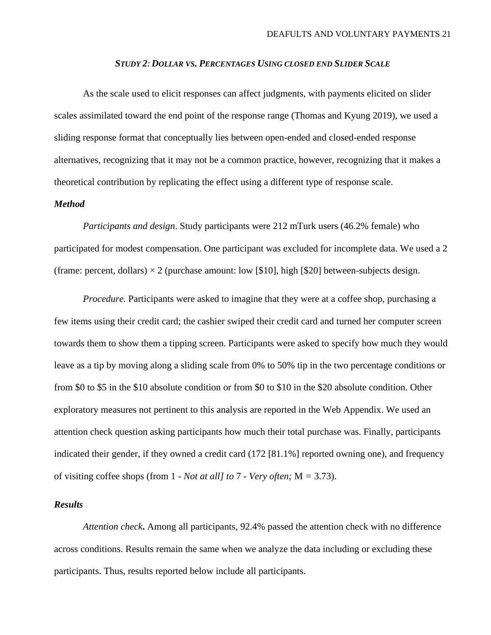### *STUDY 2: DOLLAR VS. PERCENTAGES USING CLOSED END SLIDER SCALE*

As the scale used to elicit responses can affect judgments, with payments elicited on slider scales assimilated toward the end point of the response range (Thomas and Kyung 2019), we used a sliding response format that conceptually lies between open-ended and closed-ended response alternatives, recognizing that it may not be a common practice, however, recognizing that it makes a theoretical contribution by replicating the effect using a different type of response scale.

# *Method*

*Participants and design*. Study participants were 212 mTurk users (46.2% female) who participated for modest compensation. One participant was excluded for incomplete data. We used a 2 (frame: percent, dollars)  $\times$  2 (purchase amount: low [\$10], high [\$20] between-subjects design.

*Procedure.* Participants were asked to imagine that they were at a coffee shop, purchasing a few items using their credit card; the cashier swiped their credit card and turned her computer screen towards them to show them a tipping screen. Participants were asked to specify how much they would leave as a tip by moving along a sliding scale from 0% to 50% tip in the two percentage conditions or from \$0 to \$5 in the \$10 absolute condition or from \$0 to \$10 in the \$20 absolute condition. Other exploratory measures not pertinent to this analysis are reported in the Web Appendix. We used an attention check question asking participants how much their total purchase was. Finally, participants indicated their gender, if they owned a credit card (172 [81.1%] reported owning one), and frequency of visiting coffee shops (from 1 - *Not at all] to* 7 - *Very often;* M *=* 3.73).

# *Results*

*Attention check***.** Among all participants, 92.4% passed the attention check with no difference across conditions. Results remain the same when we analyze the data including or excluding these participants. Thus, results reported below include all participants.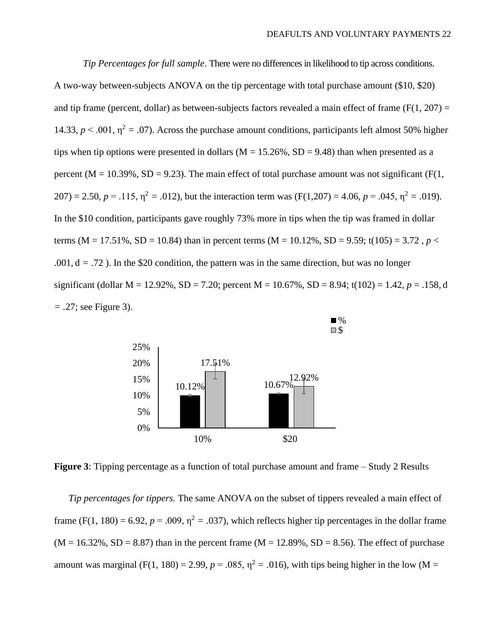*Tip Percentages for full sample*. There were no differences in likelihood to tip across conditions. A two-way between-subjects ANOVA on the tip percentage with total purchase amount (\$10, \$20) and tip frame (percent, dollar) as between-subjects factors revealed a main effect of frame ( $F(1, 207) =$ 14.33,  $p < .001$ ,  $\eta^2 = .07$ ). Across the purchase amount conditions, participants left almost 50% higher tips when tip options were presented in dollars ( $M = 15.26\%$ ,  $SD = 9.48$ ) than when presented as a percent ( $M = 10.39\%$ ,  $SD = 9.23$ ). The main effect of total purchase amount was not significant ( $F(1, 1)$ ) 207) = 2.50,  $p = .115$ ,  $\eta^2 = .012$ ), but the interaction term was (F(1,207) = 4.06,  $p = .045$ ,  $\eta^2 = .019$ ). In the \$10 condition, participants gave roughly 73% more in tips when the tip was framed in dollar terms (M = 17.51%, SD = 10.84) than in percent terms (M = 10.12%, SD = 9.59; t(105) = 3.72,  $p <$  $.001, d = .72$ ). In the \$20 condition, the pattern was in the same direction, but was no longer significant (dollar M = 12.92%, SD = 7.20; percent M = 10.67%, SD = 8.94; t(102) = 1.42,  $p = .158$ , d *= .*27; see Figure 3).



**Figure 3**: Tipping percentage as a function of total purchase amount and frame – Study 2 Results

*Tip percentages for tippers.* The same ANOVA on the subset of tippers revealed a main effect of frame (F(1, 180) = 6.92,  $p = .009$ ,  $\eta^2 = .037$ ), which reflects higher tip percentages in the dollar frame  $(M = 16.32\%, SD = 8.87)$  than in the percent frame  $(M = 12.89\%, SD = 8.56)$ . The effect of purchase amount was marginal (F(1, 180) = 2.99,  $p = .085$ ,  $\eta^2 = .016$ ), with tips being higher in the low (M =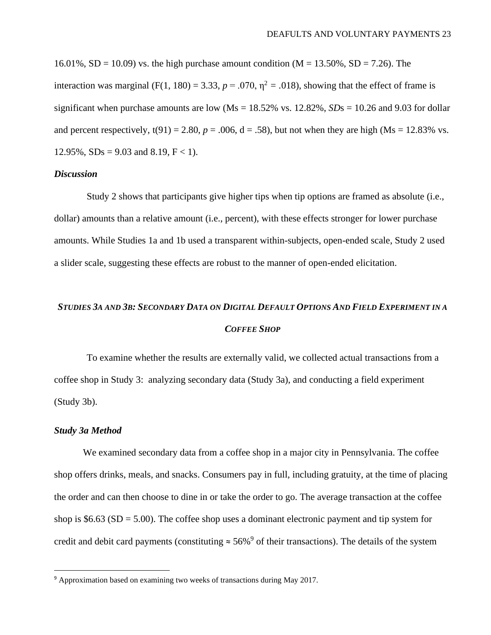16.01%, SD = 10.09) vs. the high purchase amount condition  $(M = 13.50\% , SD = 7.26)$ . The interaction was marginal (F(1, 180) = 3.33,  $p = .070$ ,  $\eta^2 = .018$ ), showing that the effect of frame is significant when purchase amounts are low ( $Ms = 18.52\%$  vs.  $12.82\%$ ,  $SDs = 10.26$  and 9.03 for dollar and percent respectively,  $t(91) = 2.80$ ,  $p = .006$ ,  $d = .58$ ), but not when they are high (Ms = 12.83% vs. 12.95%,  $SDs = 9.03$  and 8.19,  $F < 1$ ).

#### *Discussion*

Study 2 shows that participants give higher tips when tip options are framed as absolute (i.e., dollar) amounts than a relative amount (i.e., percent), with these effects stronger for lower purchase amounts. While Studies 1a and 1b used a transparent within-subjects, open-ended scale, Study 2 used a slider scale, suggesting these effects are robust to the manner of open-ended elicitation.

# STUDIES 3A AND 3B: SECONDARY DATA ON DIGITAL DEFAULT OPTIONS AND FIELD EXPERIMENT IN A *COFFEE SHOP*

To examine whether the results are externally valid, we collected actual transactions from a coffee shop in Study 3: analyzing secondary data (Study 3a), and conducting a field experiment (Study 3b).

#### *Study 3a Method*

We examined secondary data from a coffee shop in a major city in Pennsylvania. The coffee shop offers drinks, meals, and snacks. Consumers pay in full, including gratuity, at the time of placing the order and can then choose to dine in or take the order to go. The average transaction at the coffee shop is  $$6.63$  (SD = 5.00). The coffee shop uses a dominant electronic payment and tip system for credit and debit card payments (constituting  $\approx 56\%$ <sup>9</sup> of their transactions). The details of the system

<sup>&</sup>lt;sup>9</sup> Approximation based on examining two weeks of transactions during May 2017.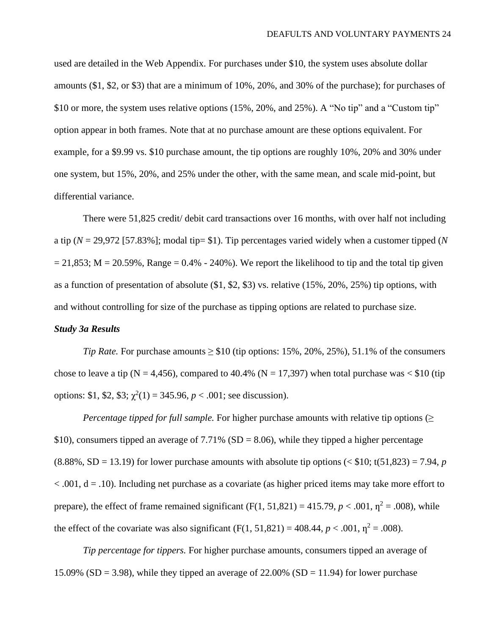used are detailed in the Web Appendix. For purchases under \$10, the system uses absolute dollar amounts (\$1, \$2, or \$3) that are a minimum of 10%, 20%, and 30% of the purchase); for purchases of \$10 or more, the system uses relative options (15%, 20%, and 25%). A "No tip" and a "Custom tip" option appear in both frames. Note that at no purchase amount are these options equivalent. For example, for a \$9.99 vs. \$10 purchase amount, the tip options are roughly 10%, 20% and 30% under one system, but 15%, 20%, and 25% under the other, with the same mean, and scale mid-point, but differential variance.

There were 51,825 credit/ debit card transactions over 16 months, with over half not including a tip (*N* = 29,972 [57.83%]; modal tip= \$1). Tip percentages varied widely when a customer tipped (*N*  $= 21,853$ ; M = 20.59%, Range = 0.4% - 240%). We report the likelihood to tip and the total tip given as a function of presentation of absolute (\$1, \$2, \$3) vs. relative (15%, 20%, 25%) tip options, with and without controlling for size of the purchase as tipping options are related to purchase size.

#### *Study 3a Results*

*Tip Rate.* For purchase amounts  $\geq$  \$10 (tip options: 15%, 20%, 25%), 51.1% of the consumers chose to leave a tip (N = 4,456), compared to 40.4% (N = 17,397) when total purchase was  $\langle$  \$10 (tip options: \$1, \$2, \$3;  $\chi^2(1) = 345.96$ ,  $p < .001$ ; see discussion).

*Percentage tipped for full sample.* For higher purchase amounts with relative tip options  $(\geq)$ \$10), consumers tipped an average of 7.71% ( $SD = 8.06$ ), while they tipped a higher percentage  $(8.88\%, SD = 13.19)$  for lower purchase amounts with absolute tip options  $( $$10$ ; t $(51,823) = 7.94$ , *p*$  $< .001$ ,  $d = .10$ ). Including net purchase as a covariate (as higher priced items may take more effort to prepare), the effect of frame remained significant  $(F(1, 51, 821) = 415.79, p < .001, \eta^2 = .008)$ , while the effect of the covariate was also significant (F(1, 51,821) = 408.44,  $p < .001$ ,  $\eta^2 = .008$ ).

*Tip percentage for tippers.* For higher purchase amounts, consumers tipped an average of 15.09% (SD = 3.98), while they tipped an average of 22.00% (SD = 11.94) for lower purchase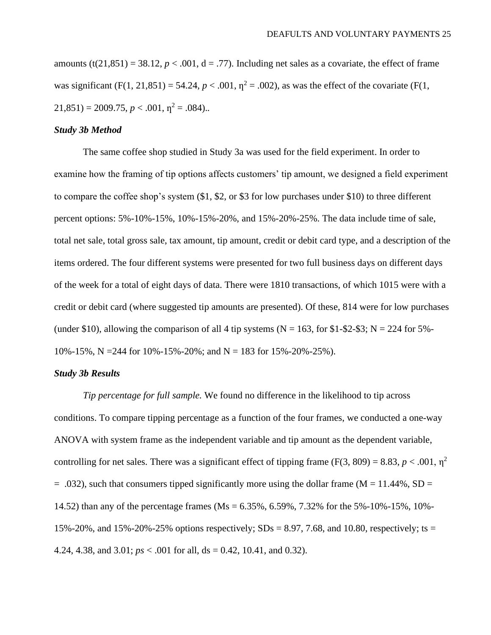amounts  $(t(21,851) = 38.12, p < .001, d = .77)$ . Including net sales as a covariate, the effect of frame was significant (F(1, 21,851) = 54.24,  $p < .001$ ,  $\eta^2 = .002$ ), as was the effect of the covariate (F(1,  $21,851$  = 2009.75,  $p < .001$ ,  $\eta^2 = .084$ )..

### *Study 3b Method*

The same coffee shop studied in Study 3a was used for the field experiment. In order to examine how the framing of tip options affects customers' tip amount, we designed a field experiment to compare the coffee shop's system  $(\$1, \$2, \text{or } \$3 \text{ for low purchases under } \$10)$  to three different percent options: 5%-10%-15%, 10%-15%-20%, and 15%-20%-25%. The data include time of sale, total net sale, total gross sale, tax amount, tip amount, credit or debit card type, and a description of the items ordered. The four different systems were presented for two full business days on different days of the week for a total of eight days of data. There were 1810 transactions, of which 1015 were with a credit or debit card (where suggested tip amounts are presented). Of these, 814 were for low purchases (under \$10), allowing the comparison of all 4 tip systems ( $N = 163$ , for \$1-\$2-\$3;  $N = 224$  for 5%-10%-15%, N = 244 for 10%-15%-20%; and N = 183 for 15%-20%-25%).

# *Study 3b Results*

*Tip percentage for full sample.* We found no difference in the likelihood to tip across conditions. To compare tipping percentage as a function of the four frames, we conducted a one-way ANOVA with system frame as the independent variable and tip amount as the dependent variable, controlling for net sales. There was a significant effect of tipping frame (F(3, 809) = 8.83,  $p < .001$ ,  $\eta^2$  $= .032$ ), such that consumers tipped significantly more using the dollar frame (M = 11.44%, SD = 14.52) than any of the percentage frames (Ms = 6.35%, 6.59%, 7.32% for the 5%-10%-15%, 10%- 15%-20%, and 15%-20%-25% options respectively;  $SDs = 8.97, 7.68$ , and 10.80, respectively; ts = 4.24, 4.38, and 3.01; *ps* < .001 for all, ds = 0.42, 10.41, and 0.32).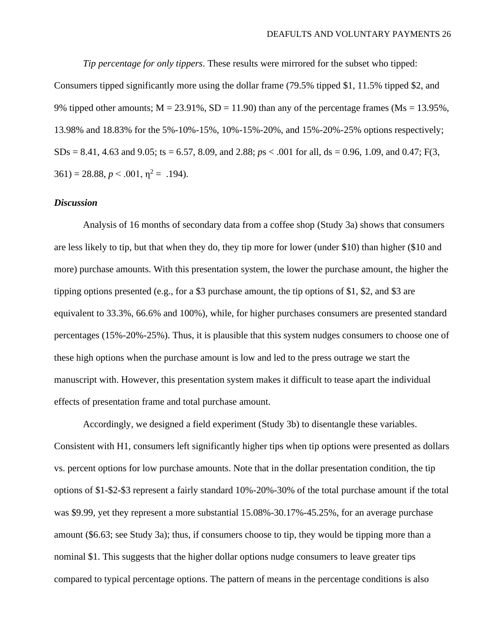*Tip percentage for only tippers*. These results were mirrored for the subset who tipped:

Consumers tipped significantly more using the dollar frame (79.5% tipped \$1, 11.5% tipped \$2, and 9% tipped other amounts;  $M = 23.91\%$ ,  $SD = 11.90$ ) than any of the percentage frames ( $Ms = 13.95\%$ , 13.98% and 18.83% for the 5%-10%-15%, 10%-15%-20%, and 15%-20%-25% options respectively;  $SDs = 8.41, 4.63$  and 9.05; ts = 6.57, 8.09, and 2.88;  $ps < .001$  for all, ds = 0.96, 1.09, and 0.47; F(3,  $361$ ) = 28.88,  $p < .001$ ,  $\eta^2$  = .194).

# *Discussion*

Analysis of 16 months of secondary data from a coffee shop (Study 3a) shows that consumers are less likely to tip, but that when they do, they tip more for lower (under \$10) than higher (\$10 and more) purchase amounts. With this presentation system, the lower the purchase amount, the higher the tipping options presented (e.g., for a \$3 purchase amount, the tip options of \$1, \$2, and \$3 are equivalent to 33.3%, 66.6% and 100%), while, for higher purchases consumers are presented standard percentages (15%-20%-25%). Thus, it is plausible that this system nudges consumers to choose one of these high options when the purchase amount is low and led to the press outrage we start the manuscript with. However, this presentation system makes it difficult to tease apart the individual effects of presentation frame and total purchase amount.

Accordingly, we designed a field experiment (Study 3b) to disentangle these variables. Consistent with H1, consumers left significantly higher tips when tip options were presented as dollars vs. percent options for low purchase amounts. Note that in the dollar presentation condition, the tip options of \$1-\$2-\$3 represent a fairly standard 10%-20%-30% of the total purchase amount if the total was \$9.99, yet they represent a more substantial 15.08%-30.17%-45.25%, for an average purchase amount (\$6.63; see Study 3a); thus, if consumers choose to tip, they would be tipping more than a nominal \$1. This suggests that the higher dollar options nudge consumers to leave greater tips compared to typical percentage options. The pattern of means in the percentage conditions is also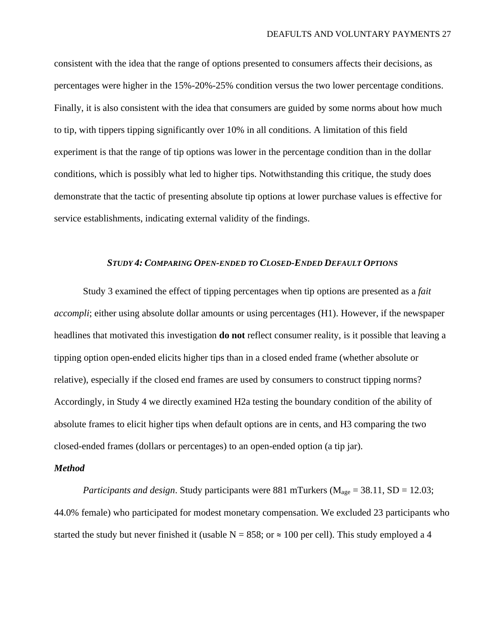consistent with the idea that the range of options presented to consumers affects their decisions, as percentages were higher in the 15%-20%-25% condition versus the two lower percentage conditions. Finally, it is also consistent with the idea that consumers are guided by some norms about how much to tip, with tippers tipping significantly over 10% in all conditions. A limitation of this field experiment is that the range of tip options was lower in the percentage condition than in the dollar conditions, which is possibly what led to higher tips. Notwithstanding this critique, the study does demonstrate that the tactic of presenting absolute tip options at lower purchase values is effective for service establishments, indicating external validity of the findings.

#### *STUDY 4: COMPARING OPEN-ENDED TO CLOSED-ENDED DEFAULT OPTIONS*

Study 3 examined the effect of tipping percentages when tip options are presented as a *fait accompli*; either using absolute dollar amounts or using percentages (H1). However, if the newspaper headlines that motivated this investigation **do not** reflect consumer reality, is it possible that leaving a tipping option open-ended elicits higher tips than in a closed ended frame (whether absolute or relative), especially if the closed end frames are used by consumers to construct tipping norms? Accordingly, in Study 4 we directly examined H2a testing the boundary condition of the ability of absolute frames to elicit higher tips when default options are in cents, and H3 comparing the two closed-ended frames (dollars or percentages) to an open-ended option (a tip jar).

# *Method*

*Participants and design.* Study participants were 881 mTurkers ( $M_{age} = 38.11$ , SD = 12.03; 44.0% female) who participated for modest monetary compensation. We excluded 23 participants who started the study but never finished it (usable  $N = 858$ ; or  $\approx 100$  per cell). This study employed a 4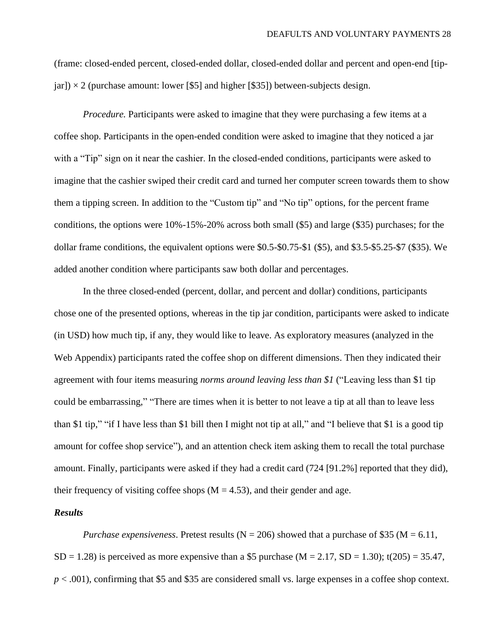(frame: closed-ended percent, closed-ended dollar, closed-ended dollar and percent and open-end [tip $j$ ar])  $\times$  2 (purchase amount: lower [\$5] and higher [\$35]) between-subjects design.

*Procedure.* Participants were asked to imagine that they were purchasing a few items at a coffee shop. Participants in the open-ended condition were asked to imagine that they noticed a jar with a "Tip" sign on it near the cashier. In the closed-ended conditions, participants were asked to imagine that the cashier swiped their credit card and turned her computer screen towards them to show them a tipping screen. In addition to the "Custom tip" and "No tip" options, for the percent frame conditions, the options were 10%-15%-20% across both small (\$5) and large (\$35) purchases; for the dollar frame conditions, the equivalent options were \$0.5-\$0.75-\$1 (\$5), and \$3.5-\$5.25-\$7 (\$35). We added another condition where participants saw both dollar and percentages.

In the three closed-ended (percent, dollar, and percent and dollar) conditions, participants chose one of the presented options, whereas in the tip jar condition, participants were asked to indicate (in USD) how much tip, if any, they would like to leave. As exploratory measures (analyzed in the Web Appendix) participants rated the coffee shop on different dimensions. Then they indicated their agreement with four items measuring *norms around leaving less than \$1* ("Leaving less than \$1 tip could be embarrassing," "There are times when it is better to not leave a tip at all than to leave less than \$1 tip," "if I have less than \$1 bill then I might not tip at all," and "I believe that \$1 is a good tip amount for coffee shop service"), and an attention check item asking them to recall the total purchase amount. Finally, participants were asked if they had a credit card (724 [91.2%] reported that they did), their frequency of visiting coffee shops  $(M = 4.53)$ , and their gender and age.

# *Results*

*Purchase expensiveness.* Pretest results ( $N = 206$ ) showed that a purchase of \$35 ( $M = 6.11$ ,  $SD = 1.28$ ) is perceived as more expensive than a \$5 purchase (M = 2.17, SD = 1.30); t(205) = 35.47, *p* < .001), confirming that \$5 and \$35 are considered small vs. large expenses in a coffee shop context.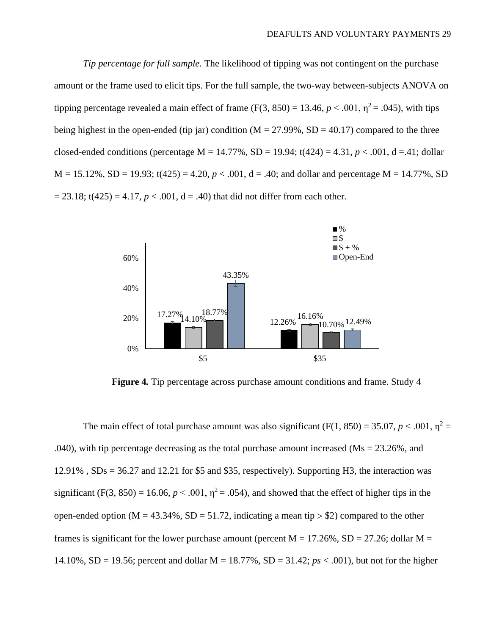*Tip percentage for full sample.* The likelihood of tipping was not contingent on the purchase amount or the frame used to elicit tips. For the full sample, the two-way between-subjects ANOVA on tipping percentage revealed a main effect of frame  $(F(3, 850) = 13.46, p \le 0.001, \eta^2 = 0.045)$ , with tips being highest in the open-ended (tip jar) condition ( $M = 27.99\%$ ,  $SD = 40.17$ ) compared to the three closed-ended conditions (percentage  $M = 14.77\%$ ,  $SD = 19.94$ ;  $t(424) = 4.31$ ,  $p < .001$ ,  $d = .41$ ; dollar  $M = 15.12\%$ ,  $SD = 19.93$ ;  $t(425) = 4.20$ ,  $p < .001$ ,  $d = .40$ ; and dollar and percentage  $M = 14.77\%$ , SD  $= 23.18$ ; t(425) = 4.17,  $p < .001$ ,  $d = .40$ ) that did not differ from each other.



**Figure 4***.* Tip percentage across purchase amount conditions and frame. Study 4

The main effect of total purchase amount was also significant (F(1, 850) = 35.07,  $p < .001$ ,  $\eta^2$  = .040), with tip percentage decreasing as the total purchase amount increased ( $\text{Ms} = 23.26\%$ , and 12.91% , SDs = 36.27 and 12.21 for \$5 and \$35, respectively). Supporting H3, the interaction was significant (F(3, 850) = 16.06,  $p < .001$ ,  $\eta^2 = .054$ ), and showed that the effect of higher tips in the open-ended option ( $M = 43.34\%$ ,  $SD = 51.72$ , indicating a mean tip  $> $2$ ) compared to the other frames is significant for the lower purchase amount (percent  $M = 17.26\%$ , SD = 27.26; dollar M = 14.10%, SD = 19.56; percent and dollar M = 18.77%, SD = 31.42; *ps* < .001), but not for the higher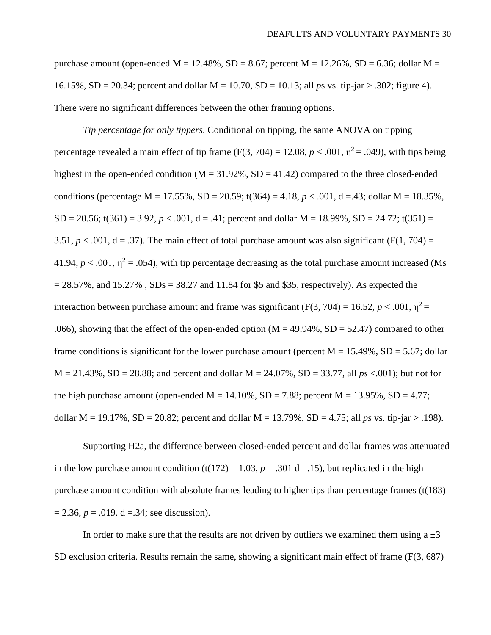purchase amount (open-ended  $M = 12.48\%$ ,  $SD = 8.67$ ; percent  $M = 12.26\%$ ,  $SD = 6.36$ ; dollar  $M =$ 16.15%, SD = 20.34; percent and dollar M = 10.70, SD = 10.13; all *p*s vs. tip-jar > .302; figure 4). There were no significant differences between the other framing options.

*Tip percentage for only tippers*. Conditional on tipping, the same ANOVA on tipping percentage revealed a main effect of tip frame (F(3, 704) = 12.08,  $p < .001$ ,  $\eta^2 = .049$ ), with tips being highest in the open-ended condition ( $M = 31.92\%$ ,  $SD = 41.42$ ) compared to the three closed-ended conditions (percentage M = 17.55%, SD = 20.59; t(364) = 4.18,  $p < .001$ , d = 43; dollar M = 18.35%,  $SD = 20.56$ ; t(361) = 3.92,  $p < .001$ ,  $d = .41$ ; percent and dollar M = 18.99%,  $SD = 24.72$ ; t(351) = 3.51,  $p < .001$ ,  $d = .37$ ). The main effect of total purchase amount was also significant (F(1, 704) = 41.94,  $p < .001$ ,  $\eta^2 = .054$ ), with tip percentage decreasing as the total purchase amount increased (Ms  $= 28.57\%$ , and  $15.27\%$ ,  $SDs = 38.27$  and 11.84 for \$5 and \$35, respectively). As expected the interaction between purchase amount and frame was significant (F(3, 704) = 16.52,  $p < .001$ ,  $\eta^2$  = .066), showing that the effect of the open-ended option ( $M = 49.94\%$ ,  $SD = 52.47$ ) compared to other frame conditions is significant for the lower purchase amount (percent  $M = 15.49\%$ , SD = 5.67; dollar  $M = 21.43\%$ ,  $SD = 28.88$ ; and percent and dollar  $M = 24.07\%$ ,  $SD = 33.77$ , all  $ps < .001$ ); but not for the high purchase amount (open-ended  $M = 14.10\%$ , SD = 7.88; percent  $M = 13.95\%$ , SD = 4.77; dollar M = 19.17%, SD = 20.82; percent and dollar M = 13.79%, SD = 4.75; all *ps* vs. tip-jar > .198).

Supporting H2a, the difference between closed-ended percent and dollar frames was attenuated in the low purchase amount condition  $(t(172) = 1.03, p = .301$  d = 15), but replicated in the high purchase amount condition with absolute frames leading to higher tips than percentage frames (t(183)  $= 2.36, p = .019. d = .34$ ; see discussion).

In order to make sure that the results are not driven by outliers we examined them using  $a \pm 3$ SD exclusion criteria. Results remain the same, showing a significant main effect of frame (F(3, 687)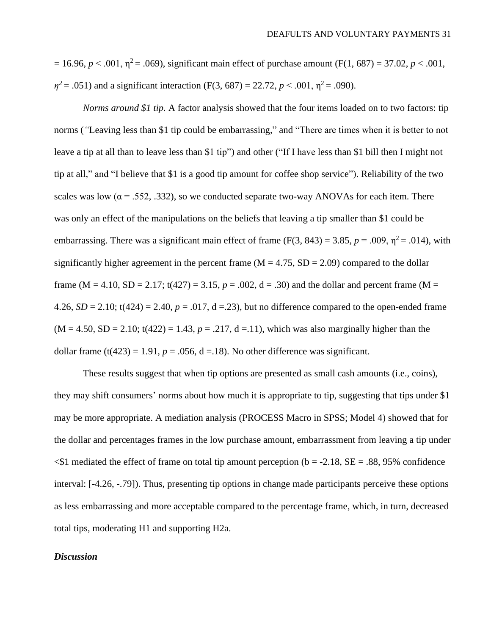$= 16.96, p \le 0.001, \eta^2 = 0.069$ , significant main effect of purchase amount (F(1, 687) = 37.02, *p* < .001,  $\eta^2$  = .051) and a significant interaction (F(3, 687) = 22.72, *p* < .001,  $\eta^2$  = .090).

*Norms around \$1 tip.* A factor analysis showed that the four items loaded on to two factors: tip norms (*"*Leaving less than \$1 tip could be embarrassing," and "There are times when it is better to not leave a tip at all than to leave less than \$1 tip") and other ("If I have less than \$1 bill then I might not tip at all," and "I believe that \$1 is a good tip amount for coffee shop service"). Reliability of the two scales was low ( $\alpha$  = .552, .332), so we conducted separate two-way ANOVAs for each item. There was only an effect of the manipulations on the beliefs that leaving a tip smaller than \$1 could be embarrassing. There was a significant main effect of frame (F(3, 843) = 3.85,  $p = .009$ ,  $\eta^2 = .014$ ), with significantly higher agreement in the percent frame ( $M = 4.75$ ,  $SD = 2.09$ ) compared to the dollar frame (M = 4.10, SD = 2.17; t(427) = 3.15,  $p = .002$ ,  $d = .30$ ) and the dollar and percent frame (M = 4.26,  $SD = 2.10$ ; t(424) = 2.40,  $p = .017$ , d = .23), but no difference compared to the open-ended frame  $(M = 4.50, SD = 2.10; t(422) = 1.43, p = .217, d = .11)$ , which was also marginally higher than the dollar frame  $(t(423) = 1.91, p = .056, d = .18)$ . No other difference was significant.

These results suggest that when tip options are presented as small cash amounts (i.e., coins), they may shift consumers' norms about how much it is appropriate to tip, suggesting that tips under \$1 may be more appropriate. A mediation analysis (PROCESS Macro in SPSS; Model 4) showed that for the dollar and percentages frames in the low purchase amount, embarrassment from leaving a tip under  $\leq$ \$1 mediated the effect of frame on total tip amount perception (b = -2.18, SE = .88, 95% confidence interval: [-4.26, -.79]). Thus, presenting tip options in change made participants perceive these options as less embarrassing and more acceptable compared to the percentage frame, which, in turn, decreased total tips, moderating H1 and supporting H2a.

# *Discussion*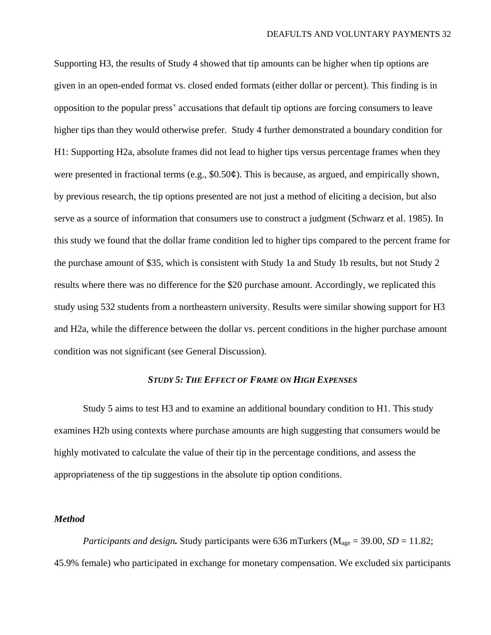Supporting H3, the results of Study 4 showed that tip amounts can be higher when tip options are given in an open-ended format vs. closed ended formats (either dollar or percent). This finding is in opposition to the popular press' accusations that default tip options are forcing consumers to leave higher tips than they would otherwise prefer. Study 4 further demonstrated a boundary condition for H1: Supporting H2a, absolute frames did not lead to higher tips versus percentage frames when they were presented in fractional terms (e.g., \$0.50 $\phi$ ). This is because, as argued, and empirically shown, by previous research, the tip options presented are not just a method of eliciting a decision, but also serve as a source of information that consumers use to construct a judgment (Schwarz et al. 1985). In this study we found that the dollar frame condition led to higher tips compared to the percent frame for the purchase amount of \$35, which is consistent with Study 1a and Study 1b results, but not Study 2 results where there was no difference for the \$20 purchase amount. Accordingly, we replicated this study using 532 students from a northeastern university. Results were similar showing support for H3 and H2a, while the difference between the dollar vs. percent conditions in the higher purchase amount condition was not significant (see General Discussion).

# *STUDY 5: THE EFFECT OF FRAME ON HIGH EXPENSES*

Study 5 aims to test H3 and to examine an additional boundary condition to H1. This study examines H2b using contexts where purchase amounts are high suggesting that consumers would be highly motivated to calculate the value of their tip in the percentage conditions, and assess the appropriateness of the tip suggestions in the absolute tip option conditions.

# *Method*

*Participants and design.* Study participants were 636 mTurkers ( $M_{\text{age}} = 39.00$ , *SD* = 11.82; 45.9% female) who participated in exchange for monetary compensation. We excluded six participants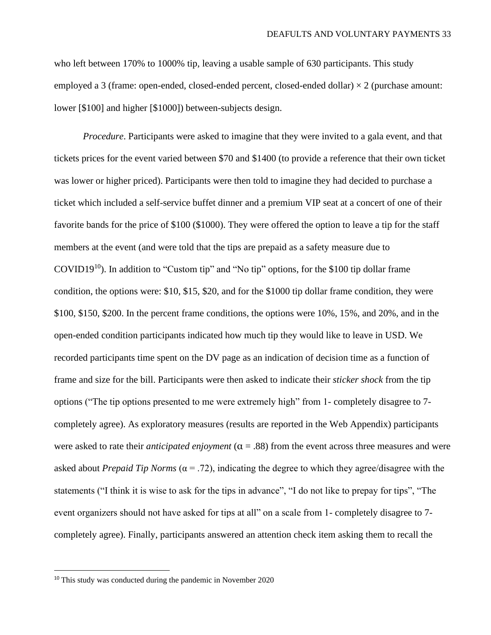who left between 170% to 1000% tip, leaving a usable sample of 630 participants. This study employed a 3 (frame: open-ended, closed-ended percent, closed-ended dollar)  $\times$  2 (purchase amount: lower [\$100] and higher [\$1000]) between-subjects design.

*Procedure*. Participants were asked to imagine that they were invited to a gala event, and that tickets prices for the event varied between \$70 and \$1400 (to provide a reference that their own ticket was lower or higher priced). Participants were then told to imagine they had decided to purchase a ticket which included a self-service buffet dinner and a premium VIP seat at a concert of one of their favorite bands for the price of \$100 (\$1000). They were offered the option to leave a tip for the staff members at the event (and were told that the tips are prepaid as a safety measure due to COVID19<sup>10</sup>). In addition to "Custom tip" and "No tip" options, for the \$100 tip dollar frame condition, the options were: \$10, \$15, \$20, and for the \$1000 tip dollar frame condition, they were \$100, \$150, \$200. In the percent frame conditions, the options were 10%, 15%, and 20%, and in the open-ended condition participants indicated how much tip they would like to leave in USD. We recorded participants time spent on the DV page as an indication of decision time as a function of frame and size for the bill. Participants were then asked to indicate their *sticker shock* from the tip options ("The tip options presented to me were extremely high" from 1- completely disagree to 7 completely agree). As exploratory measures (results are reported in the Web Appendix) participants were asked to rate their *anticipated enjoyment*  $(\alpha = .88)$  from the event across three measures and were asked about *Prepaid Tip Norms* ( $\alpha$  = .72), indicating the degree to which they agree/disagree with the statements ("I think it is wise to ask for the tips in advance", "I do not like to prepay for tips", "The event organizers should not have asked for tips at all" on a scale from 1- completely disagree to 7 completely agree). Finally, participants answered an attention check item asking them to recall the

<sup>&</sup>lt;sup>10</sup> This study was conducted during the pandemic in November 2020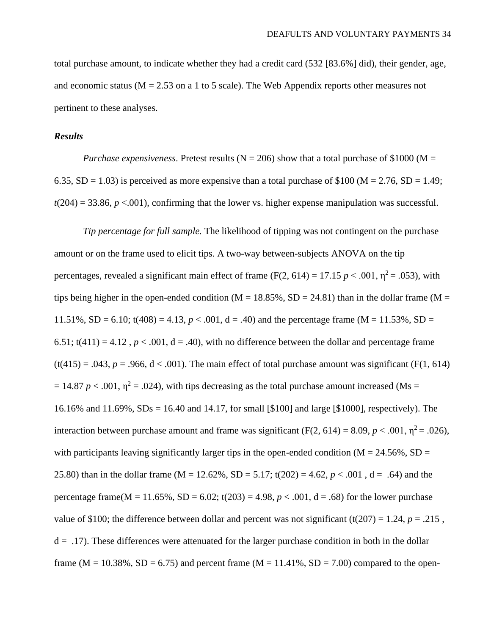total purchase amount, to indicate whether they had a credit card (532 [83.6%] did), their gender, age, and economic status ( $M = 2.53$  on a 1 to 5 scale). The Web Appendix reports other measures not pertinent to these analyses.

# *Results*

*Purchase expensiveness.* Pretest results ( $N = 206$ ) show that a total purchase of \$1000 ( $M =$ 6.35, SD = 1.03) is perceived as more expensive than a total purchase of \$100 ( $M = 2.76$ , SD = 1.49;  $t(204) = 33.86$ ,  $p < .001$ ), confirming that the lower vs. higher expense manipulation was successful.

*Tip percentage for full sample.* The likelihood of tipping was not contingent on the purchase amount or on the frame used to elicit tips. A two-way between-subjects ANOVA on the tip percentages, revealed a significant main effect of frame (F(2, 614) = 17.15  $p < .001$ ,  $\eta^2 = .053$ ), with tips being higher in the open-ended condition ( $M = 18.85\%$ ,  $SD = 24.81$ ) than in the dollar frame ( $M =$ 11.51%,  $SD = 6.10$ ;  $t(408) = 4.13$ ,  $p < .001$ ,  $d = .40$ ) and the percentage frame (M = 11.53%,  $SD =$ 6.51;  $t(411) = 4.12$ ,  $p < .001$ ,  $d = .40$ ), with no difference between the dollar and percentage frame  $(t(415) = .043, p = .966, d < .001)$ . The main effect of total purchase amount was significant (F(1, 614))  $= 14.87 p < .001$ ,  $\eta^2 = .024$ ), with tips decreasing as the total purchase amount increased (Ms = 16.16% and 11.69%, SDs = 16.40 and 14.17, for small [\$100] and large [\$1000], respectively). The interaction between purchase amount and frame was significant (F(2, 614) = 8.09,  $p < .001$ ,  $\eta^2 = .026$ ), with participants leaving significantly larger tips in the open-ended condition ( $M = 24.56\%$ , SD = 25.80) than in the dollar frame (M = 12.62%, SD = 5.17; t(202) = 4.62,  $p < .001$ , d = .64) and the percentage frame( $M = 11.65\%$ ,  $SD = 6.02$ ; t(203) = 4.98,  $p < .001$ , d = .68) for the lower purchase value of \$100; the difference between dollar and percent was not significant (t(207) = 1.24,  $p = .215$ ,  $d = 0.17$ . These differences were attenuated for the larger purchase condition in both in the dollar frame ( $M = 10.38\%$ ,  $SD = 6.75$ ) and percent frame ( $M = 11.41\%$ ,  $SD = 7.00$ ) compared to the open-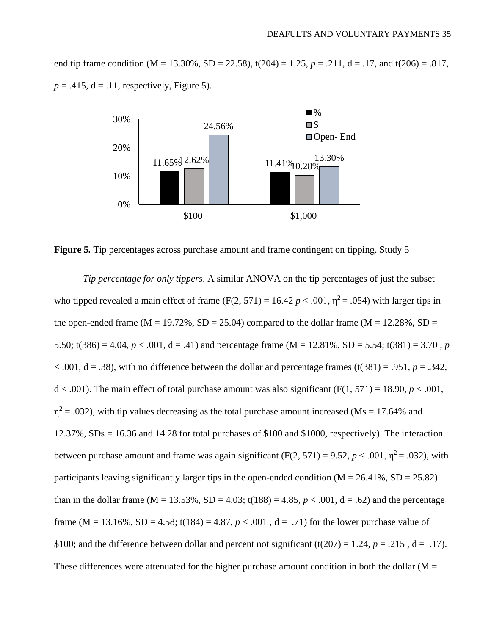end tip frame condition (M = 13.30%, SD = 22.58),  $t(204) = 1.25$ ,  $p = .211$ ,  $d = .17$ , and  $t(206) = .817$ ,  $p = .415$ ,  $d = .11$ , respectively, Figure 5).



**Figure 5***.* Tip percentages across purchase amount and frame contingent on tipping. Study 5

*Tip percentage for only tippers*. A similar ANOVA on the tip percentages of just the subset who tipped revealed a main effect of frame (F(2, 571) = 16.42  $p < .001$ ,  $\eta^2 = .054$ ) with larger tips in the open-ended frame ( $M = 19.72\%$ ,  $SD = 25.04$ ) compared to the dollar frame ( $M = 12.28\%$ ,  $SD =$ 5.50; t(386) = 4.04, *p* < .001, d = .41) and percentage frame (M = 12.81%, SD = 5.54; t(381) = 3.70, *p*  $< .001$ ,  $d = .38$ ), with no difference between the dollar and percentage frames (t(381) = .951,  $p = .342$ ,  $d < .001$ ). The main effect of total purchase amount was also significant (F(1, 571) = 18.90,  $p < .001$ ,  $\eta^2$  = .032), with tip values decreasing as the total purchase amount increased (Ms = 17.64% and  $12.37\%$ ,  $SDs = 16.36$  and  $14.28$  for total purchases of \$100 and \$1000, respectively). The interaction between purchase amount and frame was again significant  $(F(2, 571) = 9.52, p < .001, \eta^2 = .032)$ , with participants leaving significantly larger tips in the open-ended condition ( $M = 26.41\%$ ,  $SD = 25.82$ ) than in the dollar frame (M = 13.53%, SD = 4.03; t(188) = 4.85,  $p < .001$ , d = .62) and the percentage frame (M = 13.16%, SD = 4.58; t(184) = 4.87,  $p < .001$ ,  $d = .71$ ) for the lower purchase value of \$100; and the difference between dollar and percent not significant (t(207) = 1.24,  $p = .215$ ,  $d = .17$ ). These differences were attenuated for the higher purchase amount condition in both the dollar ( $M =$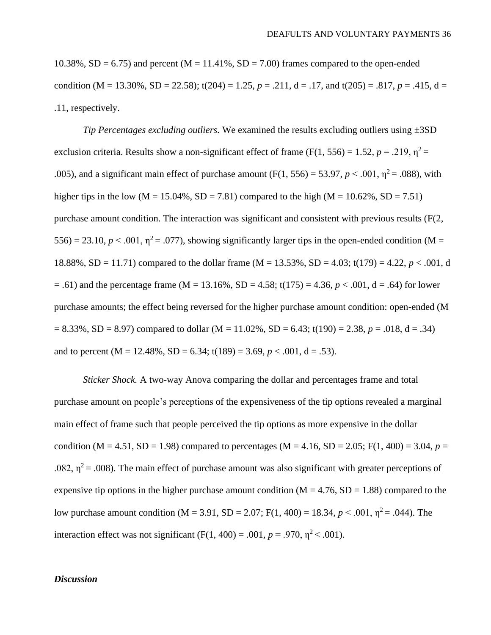$10.38\%$ , SD = 6.75) and percent (M = 11.41%, SD = 7.00) frames compared to the open-ended condition (M = 13.30%, SD = 22.58);  $t(204) = 1.25$ ,  $p = .211$ ,  $d = .17$ , and  $t(205) = .817$ ,  $p = .415$ ,  $d =$ .11, respectively.

*Tip Percentages excluding outliers.* We examined the results excluding outliers using ±3SD exclusion criteria. Results show a non-significant effect of frame (F(1, 556) = 1.52,  $p = .219$ ,  $\eta^2 =$ .005), and a significant main effect of purchase amount (F(1, 556) = 53.97,  $p < .001$ ,  $\eta^2$  = .088), with higher tips in the low (M = 15.04%, SD = 7.81) compared to the high (M = 10.62%, SD = 7.51) purchase amount condition. The interaction was significant and consistent with previous results (F(2,  $556$ ) = 23.10,  $p < .001$ ,  $\eta^2$  = .077), showing significantly larger tips in the open-ended condition (M = 18.88%, SD = 11.71) compared to the dollar frame (M = 13.53%, SD = 4.03; t(179) = 4.22, *p* < .001, d  $=$  .61) and the percentage frame (M = 13.16%, SD = 4.58; t(175) = 4.36, *p* < .001, d = .64) for lower purchase amounts; the effect being reversed for the higher purchase amount condition: open-ended (M  $= 8.33\%$ , SD = 8.97) compared to dollar (M = 11.02%, SD = 6.43; t(190) = 2.38, *p* = .018, d = .34) and to percent ( $M = 12.48\%$ ,  $SD = 6.34$ ; t(189) = 3.69,  $p < .001$ , d = .53).

*Sticker Shock.* A two-way Anova comparing the dollar and percentages frame and total purchase amount on people's perceptions of the expensiveness of the tip options revealed a marginal main effect of frame such that people perceived the tip options as more expensive in the dollar condition (M = 4.51, SD = 1.98) compared to percentages (M = 4.16, SD = 2.05; F(1, 400) = 3.04,  $p =$ .082,  $\eta^2$  = .008). The main effect of purchase amount was also significant with greater perceptions of expensive tip options in the higher purchase amount condition ( $M = 4.76$ , SD = 1.88) compared to the low purchase amount condition (M = 3.91, SD = 2.07; F(1, 400) = 18.34, *p* < .001, η<sup>2</sup> = .044). The interaction effect was not significant  $(F(1, 400) = .001, p = .970, n^2 < .001)$ .

# *Discussion*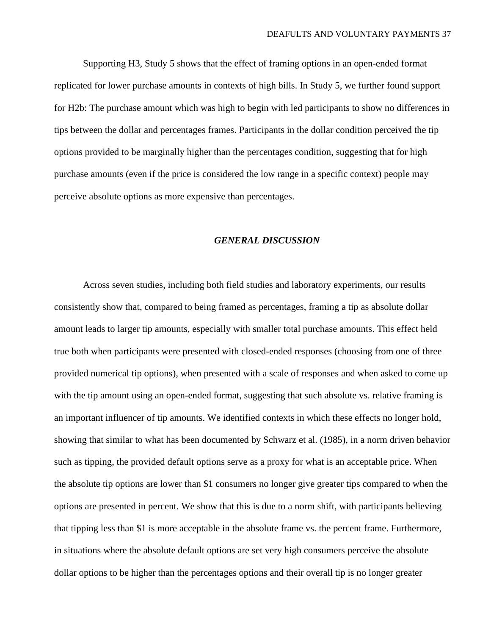Supporting H3, Study 5 shows that the effect of framing options in an open-ended format replicated for lower purchase amounts in contexts of high bills. In Study 5, we further found support for H2b: The purchase amount which was high to begin with led participants to show no differences in tips between the dollar and percentages frames. Participants in the dollar condition perceived the tip options provided to be marginally higher than the percentages condition, suggesting that for high purchase amounts (even if the price is considered the low range in a specific context) people may perceive absolute options as more expensive than percentages.

#### *GENERAL DISCUSSION*

Across seven studies, including both field studies and laboratory experiments, our results consistently show that, compared to being framed as percentages, framing a tip as absolute dollar amount leads to larger tip amounts, especially with smaller total purchase amounts. This effect held true both when participants were presented with closed-ended responses (choosing from one of three provided numerical tip options), when presented with a scale of responses and when asked to come up with the tip amount using an open-ended format, suggesting that such absolute vs. relative framing is an important influencer of tip amounts. We identified contexts in which these effects no longer hold, showing that similar to what has been documented by Schwarz et al. (1985), in a norm driven behavior such as tipping, the provided default options serve as a proxy for what is an acceptable price. When the absolute tip options are lower than \$1 consumers no longer give greater tips compared to when the options are presented in percent. We show that this is due to a norm shift, with participants believing that tipping less than \$1 is more acceptable in the absolute frame vs. the percent frame. Furthermore, in situations where the absolute default options are set very high consumers perceive the absolute dollar options to be higher than the percentages options and their overall tip is no longer greater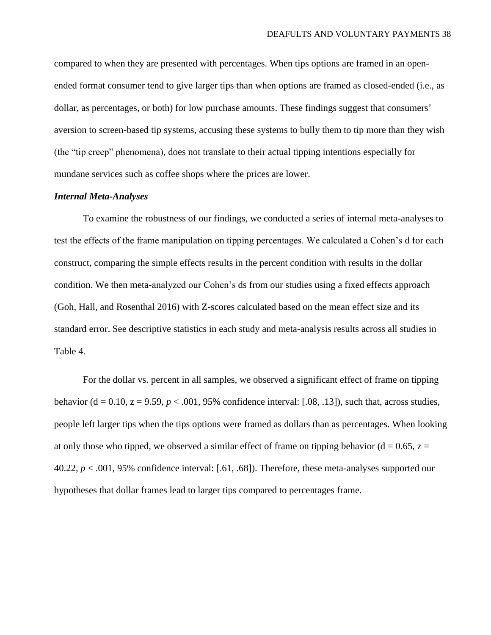compared to when they are presented with percentages. When tips options are framed in an openended format consumer tend to give larger tips than when options are framed as closed-ended (i.e., as dollar, as percentages, or both) for low purchase amounts. These findings suggest that consumers' aversion to screen-based tip systems, accusing these systems to bully them to tip more than they wish (the "tip creep" phenomena), does not translate to their actual tipping intentions especially for mundane services such as coffee shops where the prices are lower.

#### *Internal Meta-Analyses*

To examine the robustness of our findings, we conducted a series of internal meta-analyses to test the effects of the frame manipulation on tipping percentages. We calculated a Cohen's d for each construct, comparing the simple effects results in the percent condition with results in the dollar condition. We then meta-analyzed our Cohen's ds from our studies using a fixed effects approach (Goh, Hall, and Rosenthal 2016) with Z-scores calculated based on the mean effect size and its standard error. See descriptive statistics in each study and meta-analysis results across all studies in Table 4.

For the dollar vs. percent in all samples, we observed a significant effect of frame on tipping behavior (d = 0.10,  $z = 9.59$ ,  $p < .001$ , 95% confidence interval: [.08, .13]), such that, across studies, people left larger tips when the tips options were framed as dollars than as percentages. When looking at only those who tipped, we observed a similar effect of frame on tipping behavior ( $d = 0.65$ ,  $z =$ 40.22, *p* < .001, 95% confidence interval: [.61, .68]). Therefore, these meta-analyses supported our hypotheses that dollar frames lead to larger tips compared to percentages frame.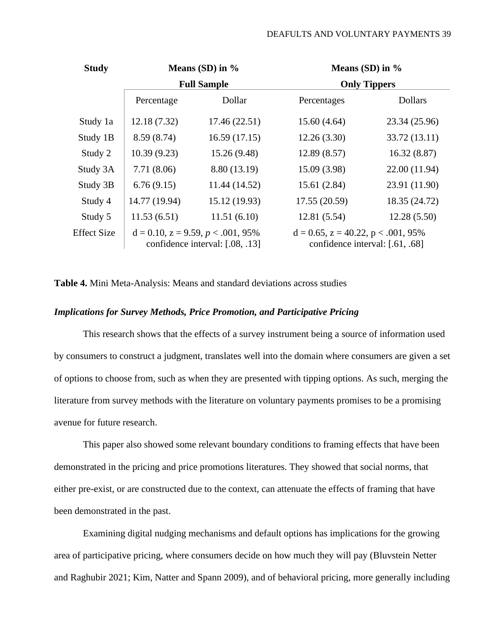#### DEAFULTS AND VOLUNTARY PAYMENTS 39

| <b>Study</b> | Means $(SD)$ in $\%$                                                          |               | Means $(SD)$ in $\%$                                                           |                |  |
|--------------|-------------------------------------------------------------------------------|---------------|--------------------------------------------------------------------------------|----------------|--|
|              | <b>Full Sample</b>                                                            |               | <b>Only Tippers</b>                                                            |                |  |
|              | Percentage                                                                    | Dollar        | Percentages                                                                    | <b>Dollars</b> |  |
| Study 1a     | 12.18 (7.32)                                                                  | 17.46(22.51)  | 15.60(4.64)                                                                    | 23.34 (25.96)  |  |
| Study 1B     | 8.59 (8.74)                                                                   | 16.59(17.15)  | 12.26(3.30)                                                                    | 33.72 (13.11)  |  |
| Study 2      | 10.39(9.23)                                                                   | 15.26(9.48)   | 12.89(8.57)                                                                    | 16.32(8.87)    |  |
| Study 3A     | 7.71(8.06)                                                                    | 8.80 (13.19)  | 15.09 (3.98)                                                                   | 22.00 (11.94)  |  |
| Study 3B     | 6.76(9.15)                                                                    | 11.44 (14.52) | 15.61(2.84)                                                                    | 23.91 (11.90)  |  |
| Study 4      | 14.77 (19.94)                                                                 | 15.12 (19.93) | 17.55 (20.59)                                                                  | 18.35 (24.72)  |  |
| Study 5      | 11.53(6.51)                                                                   | 11.51(6.10)   | 12.81(5.54)                                                                    | 12.28(5.50)    |  |
| Effect Size  | $d = 0.10$ , $z = 9.59$ , $p < .001$ , 95%<br>confidence interval: [.08, .13] |               | $d = 0.65$ , $z = 40.22$ , $p < .001$ , 95%<br>confidence interval: [.61, .68] |                |  |

**Table 4.** Mini Meta-Analysis: Means and standard deviations across studies

#### *Implications for Survey Methods, Price Promotion, and Participative Pricing*

This research shows that the effects of a survey instrument being a source of information used by consumers to construct a judgment, translates well into the domain where consumers are given a set of options to choose from, such as when they are presented with tipping options. As such, merging the literature from survey methods with the literature on voluntary payments promises to be a promising avenue for future research.

This paper also showed some relevant boundary conditions to framing effects that have been demonstrated in the pricing and price promotions literatures. They showed that social norms, that either pre-exist, or are constructed due to the context, can attenuate the effects of framing that have been demonstrated in the past.

Examining digital nudging mechanisms and default options has implications for the growing area of participative pricing, where consumers decide on how much they will pay (Bluvstein Netter and Raghubir 2021; Kim, Natter and Spann 2009), and of behavioral pricing, more generally including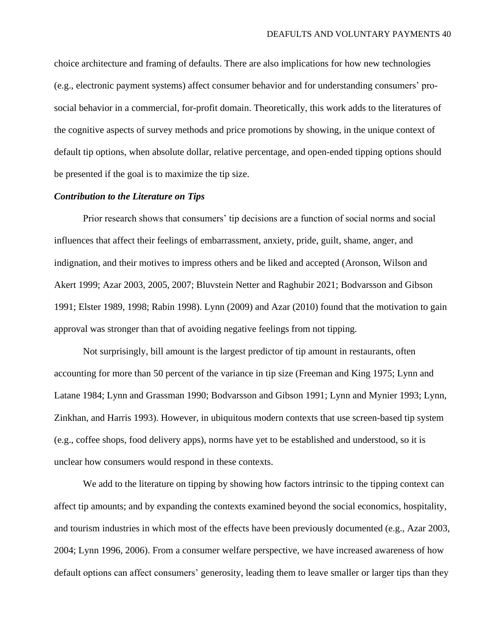choice architecture and framing of defaults. There are also implications for how new technologies (e.g., electronic payment systems) affect consumer behavior and for understanding consumers' prosocial behavior in a commercial, for-profit domain. Theoretically, this work adds to the literatures of the cognitive aspects of survey methods and price promotions by showing, in the unique context of default tip options, when absolute dollar, relative percentage, and open-ended tipping options should be presented if the goal is to maximize the tip size.

#### *Contribution to the Literature on Tips*

Prior research shows that consumers' tip decisions are a function of social norms and social influences that affect their feelings of embarrassment, anxiety, pride, guilt, shame, anger, and indignation, and their motives to impress others and be liked and accepted (Aronson, Wilson and Akert 1999; Azar 2003, 2005, 2007; Bluvstein Netter and Raghubir 2021; Bodvarsson and Gibson 1991; Elster 1989, 1998; Rabin 1998). Lynn (2009) and Azar (2010) found that the motivation to gain approval was stronger than that of avoiding negative feelings from not tipping.

Not surprisingly, bill amount is the largest predictor of tip amount in restaurants, often accounting for more than 50 percent of the variance in tip size (Freeman and King 1975; Lynn and Latane 1984; Lynn and Grassman 1990; Bodvarsson and Gibson 1991; Lynn and Mynier 1993; Lynn, Zinkhan, and Harris 1993). However, in ubiquitous modern contexts that use screen-based tip system (e.g., coffee shops, food delivery apps), norms have yet to be established and understood, so it is unclear how consumers would respond in these contexts.

We add to the literature on tipping by showing how factors intrinsic to the tipping context can affect tip amounts; and by expanding the contexts examined beyond the social economics, hospitality, and tourism industries in which most of the effects have been previously documented (e.g., Azar 2003, 2004; Lynn 1996, 2006). From a consumer welfare perspective, we have increased awareness of how default options can affect consumers' generosity, leading them to leave smaller or larger tips than they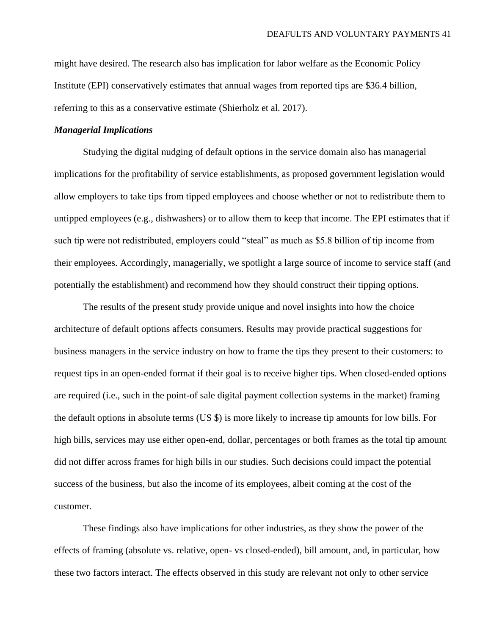might have desired. The research also has implication for labor welfare as the Economic Policy Institute (EPI) conservatively estimates that annual wages from reported tips are \$36.4 billion, referring to this as a conservative estimate [\(Shierholz](https://www.epi.org/people/heidi-shierholz/) et al. 2017).

### *Managerial Implications*

Studying the digital nudging of default options in the service domain also has managerial implications for the profitability of service establishments, as proposed government legislation would allow employers to take tips from tipped employees and choose whether or not to redistribute them to untipped employees (e.g., dishwashers) or to allow them to keep that income. The EPI estimates that if such tip were not redistributed, employers could "steal" as much as \$5.8 billion of tip income from their employees. Accordingly, managerially, we spotlight a large source of income to service staff (and potentially the establishment) and recommend how they should construct their tipping options.

The results of the present study provide unique and novel insights into how the choice architecture of default options affects consumers. Results may provide practical suggestions for business managers in the service industry on how to frame the tips they present to their customers: to request tips in an open-ended format if their goal is to receive higher tips. When closed-ended options are required (i.e., such in the point-of sale digital payment collection systems in the market) framing the default options in absolute terms (US \$) is more likely to increase tip amounts for low bills. For high bills, services may use either open-end, dollar, percentages or both frames as the total tip amount did not differ across frames for high bills in our studies. Such decisions could impact the potential success of the business, but also the income of its employees, albeit coming at the cost of the customer.

These findings also have implications for other industries, as they show the power of the effects of framing (absolute vs. relative, open- vs closed-ended), bill amount, and, in particular, how these two factors interact. The effects observed in this study are relevant not only to other service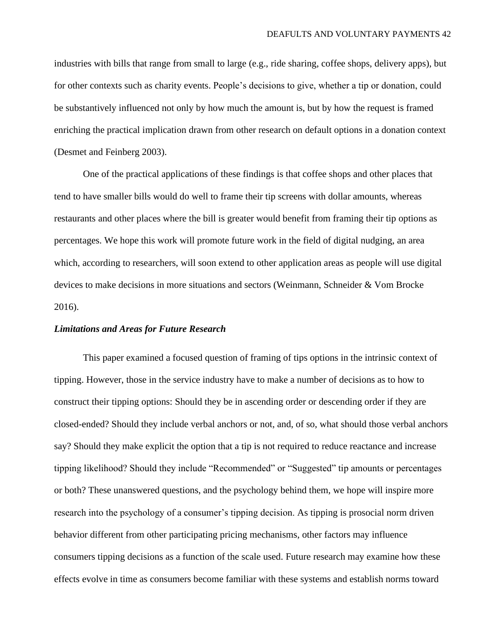industries with bills that range from small to large (e.g., ride sharing, coffee shops, delivery apps), but for other contexts such as charity events. People's decisions to give, whether a tip or donation, could be substantively influenced not only by how much the amount is, but by how the request is framed enriching the practical implication drawn from other research on default options in a donation context (Desmet and Feinberg 2003).

One of the practical applications of these findings is that coffee shops and other places that tend to have smaller bills would do well to frame their tip screens with dollar amounts, whereas restaurants and other places where the bill is greater would benefit from framing their tip options as percentages. We hope this work will promote future work in the field of digital nudging, an area which, according to researchers, will soon extend to other application areas as people will use digital devices to make decisions in more situations and sectors (Weinmann, Schneider & Vom Brocke 2016).

#### *Limitations and Areas for Future Research*

This paper examined a focused question of framing of tips options in the intrinsic context of tipping. However, those in the service industry have to make a number of decisions as to how to construct their tipping options: Should they be in ascending order or descending order if they are closed-ended? Should they include verbal anchors or not, and, of so, what should those verbal anchors say? Should they make explicit the option that a tip is not required to reduce reactance and increase tipping likelihood? Should they include "Recommended" or "Suggested" tip amounts or percentages or both? These unanswered questions, and the psychology behind them, we hope will inspire more research into the psychology of a consumer's tipping decision. As tipping is prosocial norm driven behavior different from other participating pricing mechanisms, other factors may influence consumers tipping decisions as a function of the scale used. Future research may examine how these effects evolve in time as consumers become familiar with these systems and establish norms toward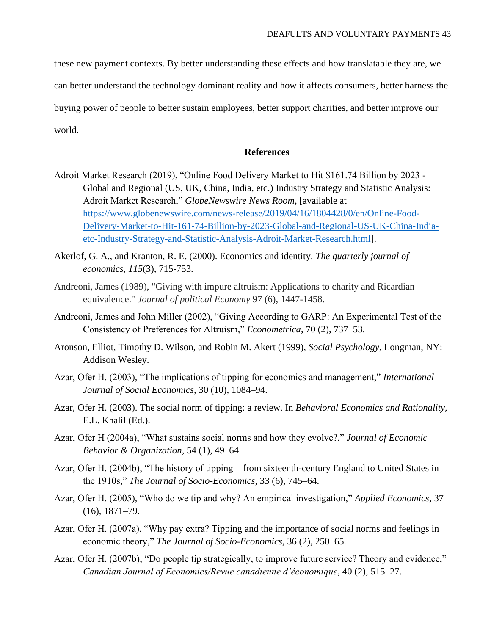these new payment contexts. By better understanding these effects and how translatable they are, we can better understand the technology dominant reality and how it affects consumers, better harness the buying power of people to better sustain employees, better support charities, and better improve our world.

# **References**

- Adroit Market Research (2019), "Online Food Delivery Market to Hit \$161.74 Billion by 2023 Global and Regional (US, UK, China, India, etc.) Industry Strategy and Statistic Analysis: Adroit Market Research," *GlobeNewswire News Room*, [available at [https://www.globenewswire.com/news-release/2019/04/16/1804428/0/en/Online-Food-](https://www.globenewswire.com/news-release/2019/04/16/1804428/0/en/Online-Food-Delivery-Market-to-Hit-161-74-Billion-by-2023-Global-and-Regional-US-UK-China-India-etc-Industry-Strategy-and-Statistic-Analysis-Adroit-Market-Research.html)[Delivery-Market-to-Hit-161-74-Billion-by-2023-Global-and-Regional-US-UK-China-India](https://www.globenewswire.com/news-release/2019/04/16/1804428/0/en/Online-Food-Delivery-Market-to-Hit-161-74-Billion-by-2023-Global-and-Regional-US-UK-China-India-etc-Industry-Strategy-and-Statistic-Analysis-Adroit-Market-Research.html)[etc-Industry-Strategy-and-Statistic-Analysis-Adroit-Market-Research.html\]](https://www.globenewswire.com/news-release/2019/04/16/1804428/0/en/Online-Food-Delivery-Market-to-Hit-161-74-Billion-by-2023-Global-and-Regional-US-UK-China-India-etc-Industry-Strategy-and-Statistic-Analysis-Adroit-Market-Research.html).
- Akerlof, G. A., and Kranton, R. E. (2000). Economics and identity. *The quarterly journal of economics*, *115*(3), 715-753.
- Andreoni, James (1989), "Giving with impure altruism: Applications to charity and Ricardian equivalence." *Journal of political Economy* 97 (6), 1447-1458.
- Andreoni, James and John Miller (2002), "Giving According to GARP: An Experimental Test of the Consistency of Preferences for Altruism," *Econometrica*, 70 (2), 737–53.
- Aronson, Elliot, Timothy D. Wilson, and Robin M. Akert (1999), *Social Psychology*, Longman, NY: Addison Wesley.
- Azar, Ofer H. (2003), "The implications of tipping for economics and management," *International Journal of Social Economics*, 30 (10), 1084–94.
- Azar, Ofer H. (2003). The social norm of tipping: a review. In *Behavioral Economics and Rationality,*  E.L. Khalil (Ed.).
- Azar, Ofer H (2004a), "What sustains social norms and how they evolve?," *Journal of Economic Behavior & Organization*, 54 (1), 49–64.
- Azar, Ofer H. (2004b), "The history of tipping—from sixteenth-century England to United States in the 1910s," *The Journal of Socio-Economics*, 33 (6), 745–64.
- Azar, Ofer H. (2005), "Who do we tip and why? An empirical investigation," *Applied Economics*, 37 (16), 1871–79.
- Azar, Ofer H. (2007a), "Why pay extra? Tipping and the importance of social norms and feelings in economic theory," *The Journal of Socio-Economics*, 36 (2), 250–65.
- Azar, Ofer H. (2007b), "Do people tip strategically, to improve future service? Theory and evidence," *Canadian Journal of Economics/Revue canadienne d'économique*, 40 (2), 515–27.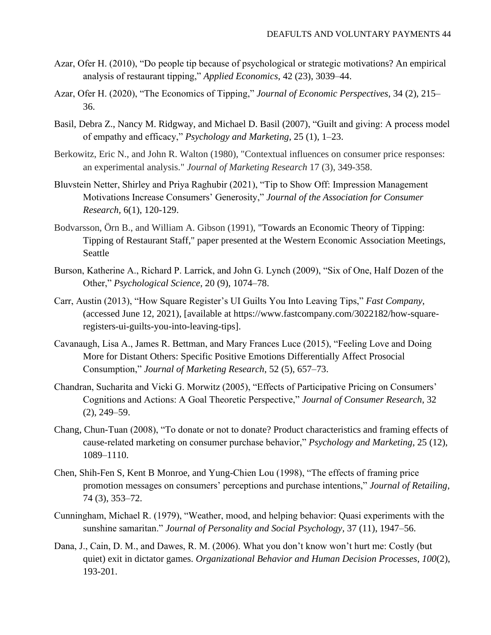- Azar, Ofer H. (2010), "Do people tip because of psychological or strategic motivations? An empirical analysis of restaurant tipping," *Applied Economics*, 42 (23), 3039–44.
- Azar, Ofer H. (2020), "The Economics of Tipping," *Journal of Economic Perspectives*, 34 (2), 215– 36.
- Basil, Debra Z., Nancy M. Ridgway, and Michael D. Basil (2007), "Guilt and giving: A process model of empathy and efficacy," *Psychology and Marketing*, 25 (1), 1–23.
- Berkowitz, Eric N., and John R. Walton (1980), "Contextual influences on consumer price responses: an experimental analysis." *Journal of Marketing Research* 17 (3), 349-358.
- Bluvstein Netter, Shirley and Priya Raghubir (2021), "Tip to Show Off: Impression Management Motivations Increase Consumers' Generosity," *Journal of the Association for Consumer Research,* 6(1), 120-129.
- Bodvarsson, Örn B., and William A. Gibson (1991), "Towards an Economic Theory of Tipping: Tipping of Restaurant Staff," paper presented at the Western Economic Association Meetings, Seattle
- Burson, Katherine A., Richard P. Larrick, and John G. Lynch (2009), "Six of One, Half Dozen of the Other," *Psychological Science*, 20 (9), 1074–78.
- Carr, Austin (2013), "How Square Register's UI Guilts You Into Leaving Tips," *Fast Company*, (accessed June 12, 2021), [available at https://www.fastcompany.com/3022182/how-squareregisters-ui-guilts-you-into-leaving-tips].
- Cavanaugh, Lisa A., James R. Bettman, and Mary Frances Luce (2015), "Feeling Love and Doing More for Distant Others: Specific Positive Emotions Differentially Affect Prosocial Consumption," *Journal of Marketing Research*, 52 (5), 657–73.
- Chandran, Sucharita and Vicki G. Morwitz (2005), "Effects of Participative Pricing on Consumers' Cognitions and Actions: A Goal Theoretic Perspective," *Journal of Consumer Research*, 32 (2), 249–59.
- Chang, Chun-Tuan (2008), "To donate or not to donate? Product characteristics and framing effects of cause-related marketing on consumer purchase behavior," *Psychology and Marketing*, 25 (12), 1089–1110.
- Chen, Shih-Fen S, Kent B Monroe, and Yung-Chien Lou (1998), "The effects of framing price promotion messages on consumers' perceptions and purchase intentions," *Journal of Retailing*, 74 (3), 353–72.
- Cunningham, Michael R. (1979), "Weather, mood, and helping behavior: Quasi experiments with the sunshine samaritan." *Journal of Personality and Social Psychology*, 37 (11), 1947–56.
- Dana, J., Cain, D. M., and Dawes, R. M. (2006). What you don't know won't hurt me: Costly (but quiet) exit in dictator games. *Organizational Behavior and Human Decision Processes*, *100*(2), 193-201.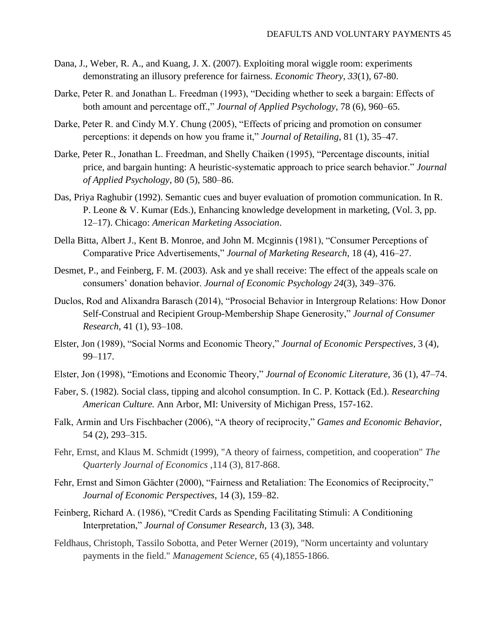- Dana, J., Weber, R. A., and Kuang, J. X. (2007). Exploiting moral wiggle room: experiments demonstrating an illusory preference for fairness. *Economic Theory*, *33*(1), 67-80.
- Darke, Peter R. and Jonathan L. Freedman (1993), "Deciding whether to seek a bargain: Effects of both amount and percentage off.," *Journal of Applied Psychology*, 78 (6), 960–65.
- Darke, Peter R. and Cindy M.Y. Chung (2005), "Effects of pricing and promotion on consumer perceptions: it depends on how you frame it," *Journal of Retailing*, 81 (1), 35–47.
- Darke, Peter R., Jonathan L. Freedman, and Shelly Chaiken (1995), "Percentage discounts, initial price, and bargain hunting: A heuristic-systematic approach to price search behavior." *Journal of Applied Psychology*, 80 (5), 580–86.
- Das, Priya Raghubir (1992). Semantic cues and buyer evaluation of promotion communication. In R. P. Leone & V. Kumar (Eds.), Enhancing knowledge development in marketing, (Vol. 3, pp. 12–17). Chicago: *American Marketing Association*.
- Della Bitta, Albert J., Kent B. Monroe, and John M. Mcginnis (1981), "Consumer Perceptions of Comparative Price Advertisements," *Journal of Marketing Research*, 18 (4), 416–27.
- Desmet, P., and Feinberg, F. M. (2003). Ask and ye shall receive: The effect of the appeals scale on consumers' donation behavior. *Journal of Economic Psychology 24*(3), 349–376.
- Duclos, Rod and Alixandra Barasch (2014), "Prosocial Behavior in Intergroup Relations: How Donor Self-Construal and Recipient Group-Membership Shape Generosity," *Journal of Consumer Research*, 41 (1), 93–108.
- Elster, Jon (1989), "Social Norms and Economic Theory," *Journal of Economic Perspectives*, 3 (4), 99–117.
- Elster, Jon (1998), "Emotions and Economic Theory," *Journal of Economic Literature*, 36 (1), 47–74.
- Faber, S. (1982). Social class, tipping and alcohol consumption. In C. P. Kottack (Ed.). *Researching American Culture.* Ann Arbor, MI: University of Michigan Press, 157-162.
- Falk, Armin and Urs Fischbacher (2006), "A theory of reciprocity," *Games and Economic Behavior*, 54 (2), 293–315.
- Fehr, Ernst, and Klaus M. Schmidt (1999), "A theory of fairness, competition, and cooperation" *The Quarterly Journal of Economics* ,114 (3), 817-868.
- Fehr, Ernst and Simon Gächter (2000), "Fairness and Retaliation: The Economics of Reciprocity," *Journal of Economic Perspectives*, 14 (3), 159–82.
- Feinberg, Richard A. (1986), "Credit Cards as Spending Facilitating Stimuli: A Conditioning Interpretation," *Journal of Consumer Research*, 13 (3), 348.
- Feldhaus, Christoph, Tassilo Sobotta, and Peter Werner (2019), "Norm uncertainty and voluntary payments in the field." *Management Science,* 65 (4),1855-1866.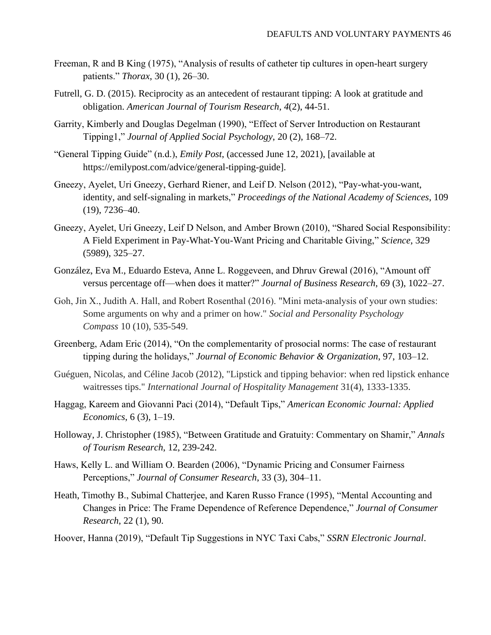- Freeman, R and B King (1975), "Analysis of results of catheter tip cultures in open-heart surgery patients." *Thorax*, 30 (1), 26–30.
- Futrell, G. D. (2015). Reciprocity as an antecedent of restaurant tipping: A look at gratitude and obligation. *American Journal of Tourism Research*, *4*(2), 44-51.
- Garrity, Kimberly and Douglas Degelman (1990), "Effect of Server Introduction on Restaurant Tipping1," *Journal of Applied Social Psychology*, 20 (2), 168–72.
- "General Tipping Guide" (n.d.), *Emily Post*, (accessed June 12, 2021), [available at https://emilypost.com/advice/general-tipping-guide].
- Gneezy, Ayelet, Uri Gneezy, Gerhard Riener, and Leif D. Nelson (2012), "Pay-what-you-want, identity, and self-signaling in markets," *Proceedings of the National Academy of Sciences*, 109 (19), 7236–40.
- Gneezy, Ayelet, Uri Gneezy, Leif D Nelson, and Amber Brown (2010), "Shared Social Responsibility: A Field Experiment in Pay-What-You-Want Pricing and Charitable Giving," *Science*, 329 (5989), 325–27.
- González, Eva M., Eduardo Esteva, Anne L. Roggeveen, and Dhruv Grewal (2016), "Amount off versus percentage off—when does it matter?" *Journal of Business Research*, 69 (3), 1022–27.
- Goh, Jin X., Judith A. Hall, and Robert Rosenthal (2016). "Mini meta-analysis of your own studies: Some arguments on why and a primer on how." *Social and Personality Psychology Compass* 10 (10), 535-549.
- Greenberg, Adam Eric (2014), "On the complementarity of prosocial norms: The case of restaurant tipping during the holidays," *Journal of Economic Behavior & Organization*, 97, 103–12.
- Guéguen, Nicolas, and Céline Jacob (2012), "Lipstick and tipping behavior: when red lipstick enhance waitresses tips." *International Journal of Hospitality Management* 31(4), 1333-1335.
- Haggag, Kareem and Giovanni Paci (2014), "Default Tips," *American Economic Journal: Applied Economics*, 6 (3), 1–19.
- Holloway, J. Christopher (1985), "Between Gratitude and Gratuity: Commentary on Shamir," *Annals of Tourism Research*, 12, 239-242.
- Haws, Kelly L. and William O. Bearden (2006), "Dynamic Pricing and Consumer Fairness Perceptions," *Journal of Consumer Research*, 33 (3), 304–11.
- Heath, Timothy B., Subimal Chatterjee, and Karen Russo France (1995), "Mental Accounting and Changes in Price: The Frame Dependence of Reference Dependence," *Journal of Consumer Research*, 22 (1), 90.
- Hoover, Hanna (2019), "Default Tip Suggestions in NYC Taxi Cabs," *SSRN Electronic Journal*.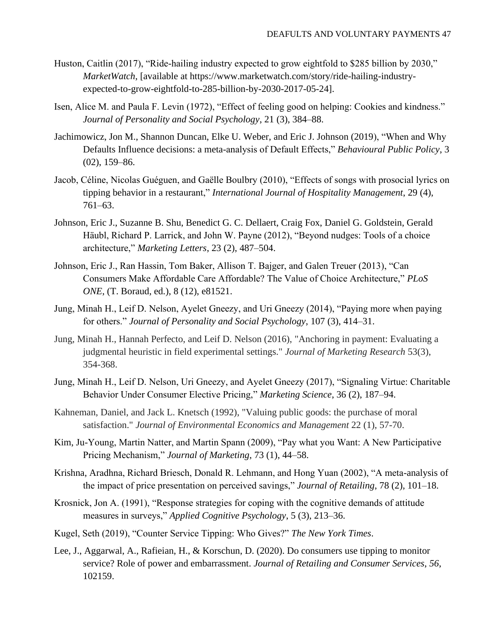- Huston, Caitlin (2017), "Ride-hailing industry expected to grow eightfold to \$285 billion by 2030," *MarketWatch*, [available at https://www.marketwatch.com/story/ride-hailing-industryexpected-to-grow-eightfold-to-285-billion-by-2030-2017-05-24].
- Isen, Alice M. and Paula F. Levin (1972), "Effect of feeling good on helping: Cookies and kindness." *Journal of Personality and Social Psychology*, 21 (3), 384–88.
- Jachimowicz, Jon M., Shannon Duncan, Elke U. Weber, and Eric J. Johnson (2019), "When and Why Defaults Influence decisions: a meta-analysis of Default Effects," *Behavioural Public Policy*, 3 (02), 159–86.
- Jacob, Céline, Nicolas Guéguen, and Gaëlle Boulbry (2010), "Effects of songs with prosocial lyrics on tipping behavior in a restaurant," *International Journal of Hospitality Management*, 29 (4), 761–63.
- Johnson, Eric J., Suzanne B. Shu, Benedict G. C. Dellaert, Craig Fox, Daniel G. Goldstein, Gerald Häubl, Richard P. Larrick, and John W. Payne (2012), "Beyond nudges: Tools of a choice architecture," *Marketing Letters*, 23 (2), 487–504.
- Johnson, Eric J., Ran Hassin, Tom Baker, Allison T. Bajger, and Galen Treuer (2013), "Can Consumers Make Affordable Care Affordable? The Value of Choice Architecture," *PLoS ONE*, (T. Boraud, ed.), 8 (12), e81521.
- Jung, Minah H., Leif D. Nelson, Ayelet Gneezy, and Uri Gneezy (2014), "Paying more when paying for others." *Journal of Personality and Social Psychology*, 107 (3), 414–31.
- Jung, Minah H., Hannah Perfecto, and Leif D. Nelson (2016), "Anchoring in payment: Evaluating a judgmental heuristic in field experimental settings." *Journal of Marketing Research* 53(3), 354-368.
- Jung, Minah H., Leif D. Nelson, Uri Gneezy, and Ayelet Gneezy (2017), "Signaling Virtue: Charitable Behavior Under Consumer Elective Pricing," *Marketing Science*, 36 (2), 187–94.
- Kahneman, Daniel, and Jack L. Knetsch (1992), "Valuing public goods: the purchase of moral satisfaction." *Journal of Environmental Economics and Management* 22 (1), 57-70.
- Kim, Ju-Young, Martin Natter, and Martin Spann (2009), "Pay what you Want: A New Participative Pricing Mechanism," *Journal of Marketing*, 73 (1), 44–58.
- Krishna, Aradhna, Richard Briesch, Donald R. Lehmann, and Hong Yuan (2002), "A meta-analysis of the impact of price presentation on perceived savings," *Journal of Retailing*, 78 (2), 101–18.
- Krosnick, Jon A. (1991), "Response strategies for coping with the cognitive demands of attitude measures in surveys," *Applied Cognitive Psychology*, 5 (3), 213–36.
- Kugel, Seth (2019), "Counter Service Tipping: Who Gives?" *The New York Times*.
- Lee, J., Aggarwal, A., Rafieian, H., & Korschun, D. (2020). Do consumers use tipping to monitor service? Role of power and embarrassment. *Journal of Retailing and Consumer Services*, *56*, 102159.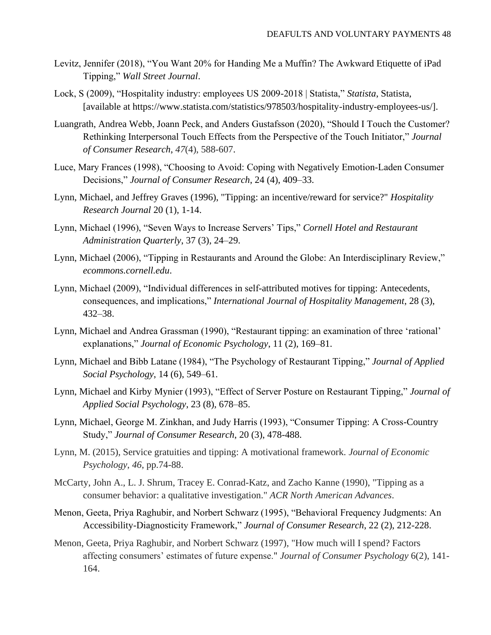- Levitz, Jennifer (2018), "You Want 20% for Handing Me a Muffin? The Awkward Etiquette of iPad Tipping," *Wall Street Journal*.
- Lock, S (2009), "Hospitality industry: employees US 2009-2018 | Statista," *Statista*, Statista, [available at https://www.statista.com/statistics/978503/hospitality-industry-employees-us/].
- Luangrath, Andrea Webb, Joann Peck, and Anders Gustafsson (2020), "Should I Touch the Customer? Rethinking Interpersonal Touch Effects from the Perspective of the Touch Initiator," *Journal of Consumer Research*, *47*(4), 588-607.
- Luce, Mary Frances (1998), "Choosing to Avoid: Coping with Negatively Emotion‐Laden Consumer Decisions," *Journal of Consumer Research*, 24 (4), 409–33.
- Lynn, Michael, and Jeffrey Graves (1996), "Tipping: an incentive/reward for service?" *Hospitality Research Journal* 20 (1), 1-14.
- Lynn, Michael (1996), "Seven Ways to Increase Servers' Tips," *Cornell Hotel and Restaurant Administration Quarterly*, 37 (3), 24–29.
- Lynn, Michael (2006), "Tipping in Restaurants and Around the Globe: An Interdisciplinary Review," *ecommons.cornell.edu*.
- Lynn, Michael (2009), "Individual differences in self-attributed motives for tipping: Antecedents, consequences, and implications," *International Journal of Hospitality Management*, 28 (3), 432–38.
- Lynn, Michael and Andrea Grassman (1990), "Restaurant tipping: an examination of three 'rational' explanations," *Journal of Economic Psychology*, 11 (2), 169–81.
- Lynn, Michael and Bibb Latane (1984), "The Psychology of Restaurant Tipping," *Journal of Applied Social Psychology*, 14 (6), 549–61.
- Lynn, Michael and Kirby Mynier (1993), "Effect of Server Posture on Restaurant Tipping," *Journal of Applied Social Psychology*, 23 (8), 678–85.
- Lynn, Michael, George M. Zinkhan, and Judy Harris (1993), "Consumer Tipping: A Cross-Country Study," *Journal of Consumer Research*, 20 (3), 478-488.
- Lynn, M. (2015), Service gratuities and tipping: A motivational framework. *Journal of Economic Psychology*, *46*, pp.74-88.
- McCarty, John A., L. J. Shrum, Tracey E. Conrad-Katz, and Zacho Kanne (1990), "Tipping as a consumer behavior: a qualitative investigation." *ACR North American Advances*.
- Menon, Geeta, Priya Raghubir, and Norbert Schwarz (1995), "Behavioral Frequency Judgments: An Accessibility-Diagnosticity Framework," *Journal of Consumer Research*, 22 (2), 212-228.
- Menon, Geeta, Priya Raghubir, and Norbert Schwarz (1997), "How much will I spend? Factors affecting consumers' estimates of future expense." *Journal of Consumer Psychology* 6(2), 141- 164.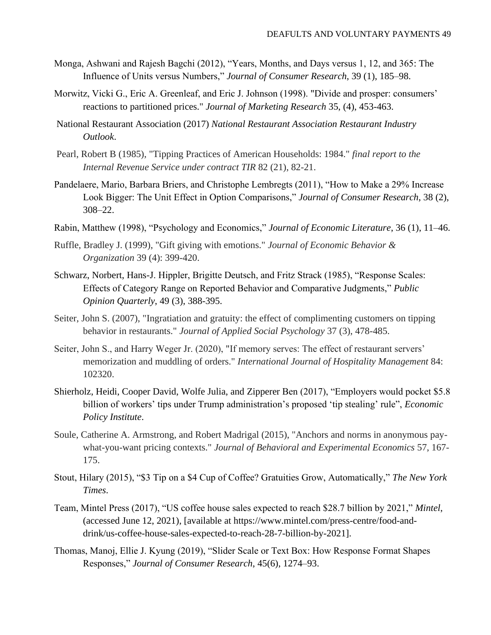- Monga, Ashwani and Rajesh Bagchi (2012), "Years, Months, and Days versus 1, 12, and 365: The Influence of Units versus Numbers," *Journal of Consumer Research*, 39 (1), 185–98.
- Morwitz, Vicki G., Eric A. Greenleaf, and Eric J. Johnson (1998). "Divide and prosper: consumers' reactions to partitioned prices." *Journal of Marketing Research* 35, (4), 453-463.
- National Restaurant Association (2017) *National Restaurant Association Restaurant Industry Outlook*.
- Pearl, Robert B (1985), "Tipping Practices of American Households: 1984." *final report to the Internal Revenue Service under contract TIR* 82 (21), 82-21.
- Pandelaere, Mario, Barbara Briers, and Christophe Lembregts (2011), "How to Make a 29% Increase Look Bigger: The Unit Effect in Option Comparisons," *Journal of Consumer Research*, 38 (2), 308–22.
- Rabin, Matthew (1998), "Psychology and Economics," *Journal of Economic Literature*, 36 (1), 11–46.
- Ruffle, Bradley J. (1999), "Gift giving with emotions." *Journal of Economic Behavior & Organization* 39 (4): 399-420.
- Schwarz, Norbert, Hans-J. Hippler, Brigitte Deutsch, and Fritz Strack (1985), "Response Scales: Effects of Category Range on Reported Behavior and Comparative Judgments," *Public Opinion Quarterly*, 49 (3), 388-395.
- Seiter, John S. (2007), "Ingratiation and gratuity: the effect of complimenting customers on tipping behavior in restaurants." *Journal of Applied Social Psychology* 37 (3), 478-485.
- Seiter, John S., and Harry Weger Jr. (2020), "If memory serves: The effect of restaurant servers' memorization and muddling of orders." *International Journal of Hospitality Management* 84: 102320.
- Shierholz, [Heidi,](https://www.epi.org/people/heidi-shierholz/) Cooper [David,](https://www.epi.org/people/david-cooper/) Wolfe [Julia,](https://www.epi.org/people/julia-wolfe/) and Zipperer [Ben \(2017\), "Employers would pocket \\$5.8](https://www.epi.org/people/ben-zipperer/)  [billion of workers' tips under Trump administration's proposed 'tip stealing' rule",](https://www.epi.org/people/ben-zipperer/) *Economic [Policy Institute](https://www.epi.org/people/ben-zipperer/)*.
- [Soule, Catherine A. Armstrong, and Robert Madrigal \(2015\), "Anchors and norms in anonymous pay](https://www.epi.org/people/ben-zipperer/)what-you-want pricing contexts." *[Journal of Behavioral and Experimental Economics](https://www.epi.org/people/ben-zipperer/)* 57, 167- [175.](https://www.epi.org/people/ben-zipperer/)
- Stout, Hilary (2015), "\$3 Tip on a \$4 Cup of Coffee? Gratuities Grow, Automatically," *The New York Times*.
- Team, Mintel Press (2017), "US coffee house sales expected to reach \$28.7 billion by 2021," *Mintel*, (accessed June 12, 2021), [available at https://www.mintel.com/press-centre/food-anddrink/us-coffee-house-sales-expected-to-reach-28-7-billion-by-2021].
- Thomas, Manoj, Ellie J. Kyung (2019), "Slider Scale or Text Box: How Response Format Shapes Responses," *Journal of Consumer Research*, 45(6), 1274–93.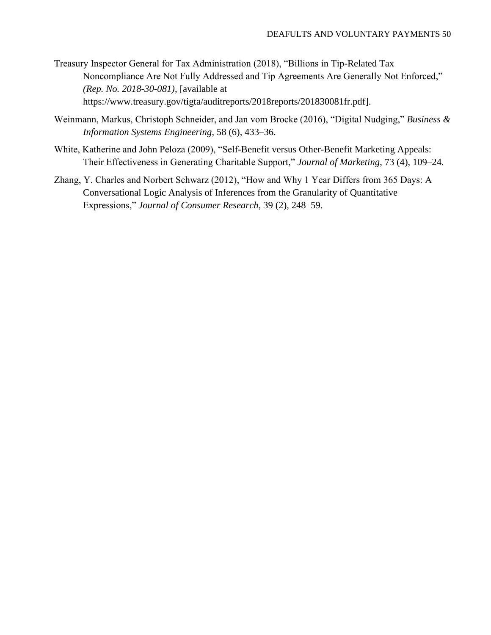- Treasury Inspector General for Tax Administration (2018), "Billions in Tip-Related Tax Noncompliance Are Not Fully Addressed and Tip Agreements Are Generally Not Enforced," *(Rep. No. 2018-30-081)*, [available at https://www.treasury.gov/tigta/auditreports/2018reports/201830081fr.pdf].
- Weinmann, Markus, Christoph Schneider, and Jan vom Brocke (2016), "Digital Nudging," *Business & Information Systems Engineering*, 58 (6), 433–36.
- White, Katherine and John Peloza (2009), "Self-Benefit versus Other-Benefit Marketing Appeals: Their Effectiveness in Generating Charitable Support," *Journal of Marketing*, 73 (4), 109–24.
- Zhang, Y. Charles and Norbert Schwarz (2012), "How and Why 1 Year Differs from 365 Days: A Conversational Logic Analysis of Inferences from the Granularity of Quantitative Expressions," *Journal of Consumer Research*, 39 (2), 248–59.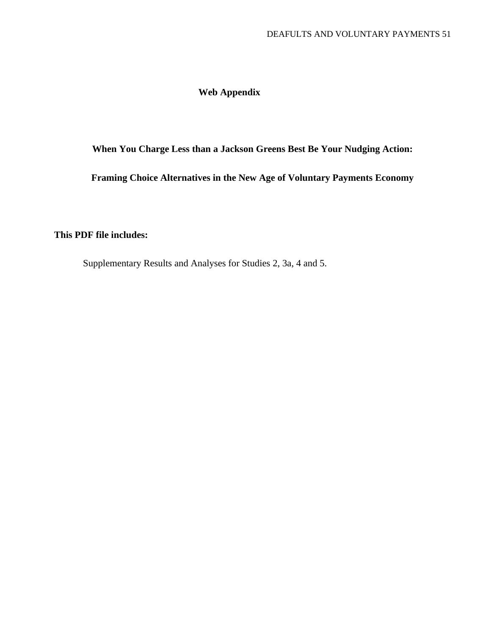# **Web Appendix**

# **When You Charge Less than a Jackson Greens Best Be Your Nudging Action:**

**Framing Choice Alternatives in the New Age of Voluntary Payments Economy**

# **This PDF file includes:**

Supplementary Results and Analyses for Studies 2, 3a, 4 and 5.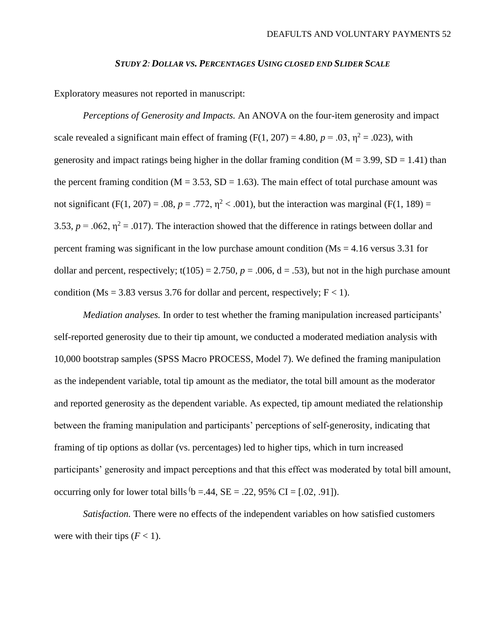#### *STUDY 2: DOLLAR VS. PERCENTAGES USING CLOSED END SLIDER SCALE*

Exploratory measures not reported in manuscript:

*Perceptions of Generosity and Impacts.* An ANOVA on the four-item generosity and impact scale revealed a significant main effect of framing (F(1, 207) = 4.80,  $p = .03$ ,  $n^2 = .023$ ), with generosity and impact ratings being higher in the dollar framing condition ( $M = 3.99$ ,  $SD = 1.41$ ) than the percent framing condition ( $M = 3.53$ ,  $SD = 1.63$ ). The main effect of total purchase amount was not significant (F(1, 207) = .08,  $p = .772$ ,  $\eta^2 < .001$ ), but the interaction was marginal (F(1, 189) = 3.53,  $p = .062$ ,  $\eta^2 = .017$ ). The interaction showed that the difference in ratings between dollar and percent framing was significant in the low purchase amount condition ( $\text{Ms} = 4.16$  versus 3.31 for dollar and percent, respectively;  $t(105) = 2.750$ ,  $p = .006$ ,  $d = .53$ ), but not in the high purchase amount condition (Ms = 3.83 versus 3.76 for dollar and percent, respectively;  $F < 1$ ).

*Mediation analyses.* In order to test whether the framing manipulation increased participants' self-reported generosity due to their tip amount, we conducted a moderated mediation analysis with 10,000 bootstrap samples (SPSS Macro PROCESS, Model 7). We defined the framing manipulation as the independent variable, total tip amount as the mediator, the total bill amount as the moderator and reported generosity as the dependent variable. As expected, tip amount mediated the relationship between the framing manipulation and participants' perceptions of self-generosity, indicating that framing of tip options as dollar (vs. percentages) led to higher tips, which in turn increased participants' generosity and impact perceptions and that this effect was moderated by total bill amount, occurring only for lower total bills  $b = .44$ ,  $SE = .22$ , 95% CI = [.02, .91]).

*Satisfaction.* There were no effects of the independent variables on how satisfied customers were with their tips  $(F < 1)$ .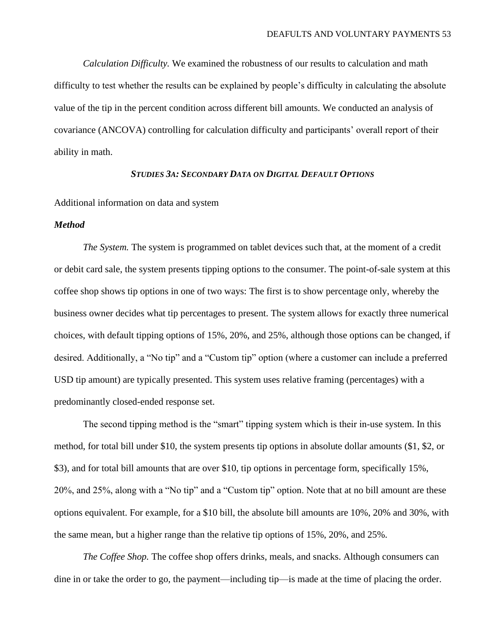*Calculation Difficulty.* We examined the robustness of our results to calculation and math difficulty to test whether the results can be explained by people's difficulty in calculating the absolute value of the tip in the percent condition across different bill amounts. We conducted an analysis of covariance (ANCOVA) controlling for calculation difficulty and participants' overall report of their ability in math.

# *STUDIES 3A: SECONDARY DATA ON DIGITAL DEFAULT OPTIONS*

# Additional information on data and system

# *Method*

*The System.* The system is programmed on tablet devices such that, at the moment of a credit or debit card sale, the system presents tipping options to the consumer. The point-of-sale system at this coffee shop shows tip options in one of two ways: The first is to show percentage only, whereby the business owner decides what tip percentages to present. The system allows for exactly three numerical choices, with default tipping options of 15%, 20%, and 25%, although those options can be changed, if desired. Additionally, a "No tip" and a "Custom tip" option (where a customer can include a preferred USD tip amount) are typically presented. This system uses relative framing (percentages) with a predominantly closed-ended response set.

The second tipping method is the "smart" tipping system which is their in-use system. In this method, for total bill under \$10, the system presents tip options in absolute dollar amounts (\$1, \$2, or \$3), and for total bill amounts that are over \$10, tip options in percentage form, specifically 15%, 20%, and 25%, along with a "No tip" and a "Custom tip" option. Note that at no bill amount are these options equivalent. For example, for a \$10 bill, the absolute bill amounts are 10%, 20% and 30%, with the same mean, but a higher range than the relative tip options of 15%, 20%, and 25%.

*The Coffee Shop.* The coffee shop offers drinks, meals, and snacks. Although consumers can dine in or take the order to go, the payment—including tip—is made at the time of placing the order.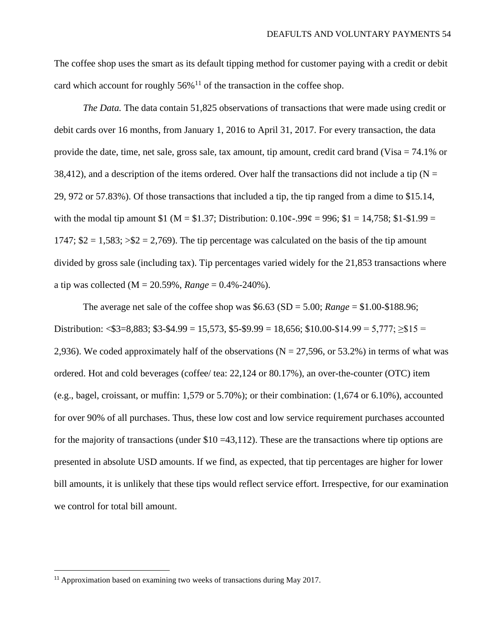The coffee shop uses the smart as its default tipping method for customer paying with a credit or debit card which account for roughly  $56\%$ <sup>11</sup> of the transaction in the coffee shop.

*The Data.* The data contain 51,825 observations of transactions that were made using credit or debit cards over 16 months, from January 1, 2016 to April 31, 2017. For every transaction, the data provide the date, time, net sale, gross sale, tax amount, tip amount, credit card brand (Visa  $= 74.1\%$  or 38,412), and a description of the items ordered. Over half the transactions did not include a tip ( $N =$ 29, 972 or 57.83%). Of those transactions that included a tip, the tip ranged from a dime to \$15.14, with the modal tip amount \$1 (M = \$1.37; Distribution:  $0.10¢-99¢ = 996$ ; \$1 = 14,758; \$1-\$1.99 = 1747;  $$2 = 1,583$ ;  $>$2 = 2,769$ ). The tip percentage was calculated on the basis of the tip amount divided by gross sale (including tax). Tip percentages varied widely for the 21,853 transactions where a tip was collected (M = 20.59%, *Range* = 0.4%-240%).

The average net sale of the coffee shop was  $$6.63$  (SD = 5.00; *Range* = \$1.00-\$188.96; Distribution: <\$3=8,883; \$3-\$4.99 = 15,573, \$5-\$9.99 = 18,656; \$10.00-\$14.99 = 5,777;  $\geq$ \$15 = 2,936). We coded approximately half of the observations ( $N = 27,596$ , or 53.2%) in terms of what was ordered. Hot and cold beverages (coffee/ tea: 22,124 or 80.17%), an over-the-counter (OTC) item (e.g., bagel, croissant, or muffin: 1,579 or 5.70%); or their combination: (1,674 or 6.10%), accounted for over 90% of all purchases. Thus, these low cost and low service requirement purchases accounted for the majority of transactions (under  $$10 = 43,112$ ). These are the transactions where tip options are presented in absolute USD amounts. If we find, as expected, that tip percentages are higher for lower bill amounts, it is unlikely that these tips would reflect service effort. Irrespective, for our examination we control for total bill amount.

<sup>&</sup>lt;sup>11</sup> Approximation based on examining two weeks of transactions during May 2017.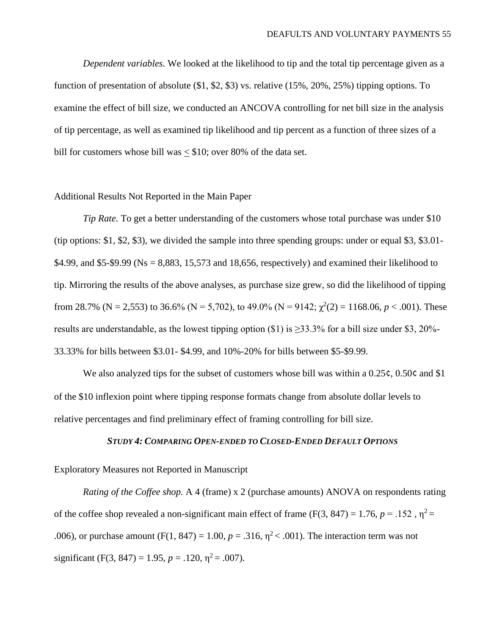*Dependent variables.* We looked at the likelihood to tip and the total tip percentage given as a function of presentation of absolute (\$1, \$2, \$3) vs. relative (15%, 20%, 25%) tipping options. To examine the effect of bill size, we conducted an ANCOVA controlling for net bill size in the analysis of tip percentage, as well as examined tip likelihood and tip percent as a function of three sizes of a bill for customers whose bill was < \$10; over 80% of the data set.

## Additional Results Not Reported in the Main Paper

*Tip Rate.* To get a better understanding of the customers whose total purchase was under \$10 (tip options: \$1, \$2, \$3), we divided the sample into three spending groups: under or equal \$3, \$3.01- \$4.99, and \$5-\$9.99 (Ns = 8,883, 15,573 and 18,656, respectively) and examined their likelihood to tip. Mirroring the results of the above analyses, as purchase size grew, so did the likelihood of tipping from 28.7% (N = 2,553) to 36.6% (N = 5,702), to 49.0% (N = 9142;  $\chi^2(2) = 1168.06$ ,  $p < .001$ ). These results are understandable, as the lowest tipping option (\$1) is  $\geq$ 33.3% for a bill size under \$3, 20%-33.33% for bills between \$3.01- \$4.99, and 10%-20% for bills between \$5-\$9.99.

We also analyzed tips for the subset of customers whose bill was within a 0.25 $\varsigma$ , 0.50 $\varsigma$  and \$1 of the \$10 inflexion point where tipping response formats change from absolute dollar levels to relative percentages and find preliminary effect of framing controlling for bill size.

# *STUDY 4: COMPARING OPEN-ENDED TO CLOSED-ENDED DEFAULT OPTIONS*

Exploratory Measures not Reported in Manuscript

*Rating of the Coffee shop.* A 4 (frame) x 2 (purchase amounts) ANOVA on respondents rating of the coffee shop revealed a non-significant main effect of frame (F(3, 847) = 1.76,  $p = .152$ ,  $\eta^2$  = .006), or purchase amount (F(1, 847) = 1.00,  $p = .316$ ,  $\eta^2$  < .001). The interaction term was not significant (F(3, 847) = 1.95,  $p = .120$ ,  $\eta^2 = .007$ ).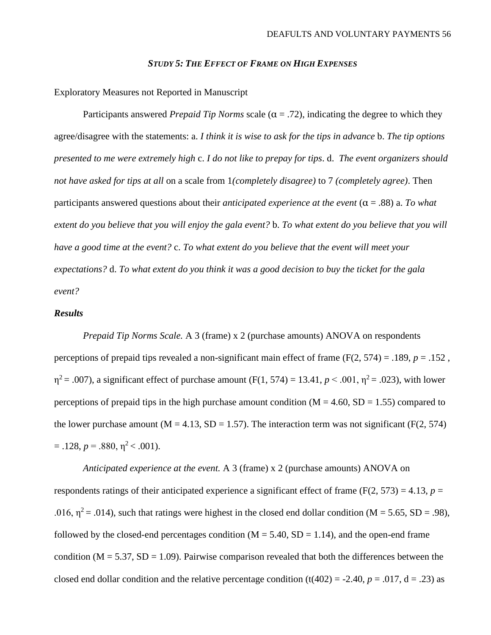#### *STUDY 5: THE EFFECT OF FRAME ON HIGH EXPENSES*

Exploratory Measures not Reported in Manuscript

Participants answered *Prepaid Tip Norms* scale ( $\alpha$  = .72), indicating the degree to which they agree/disagree with the statements: a. *I think it is wise to ask for the tips in advance* b. *The tip options presented to me were extremely high* c. *I do not like to prepay for tips*. d. *The event organizers should not have asked for tips at all* on a scale from 1*(completely disagree)* to 7 *(completely agree)*. Then participants answered questions about their *anticipated experience at the event*  $(\alpha = .88)$  a. *To what extent do you believe that you will enjoy the gala event?* b. *To what extent do you believe that you will have a good time at the event?* c. *To what extent do you believe that the event will meet your expectations?* d. *To what extent do you think it was a good decision to buy the ticket for the gala event?* 

# *Results*

*Prepaid Tip Norms Scale.* A 3 (frame) x 2 (purchase amounts) ANOVA on respondents perceptions of prepaid tips revealed a non-significant main effect of frame ( $F(2, 574) = .189$ ,  $p = .152$ ,  $η<sup>2</sup> = .007$ ), a significant effect of purchase amount (F(1, 574) = 13.41, *p* < .001,  $η<sup>2</sup> = .023$ ), with lower perceptions of prepaid tips in the high purchase amount condition ( $M = 4.60$ ,  $SD = 1.55$ ) compared to the lower purchase amount ( $M = 4.13$ ,  $SD = 1.57$ ). The interaction term was not significant ( $F(2, 574)$ )  $= .128, p = .880, \eta^2 < .001$ .

*Anticipated experience at the event.* A 3 (frame) x 2 (purchase amounts) ANOVA on respondents ratings of their anticipated experience a significant effect of frame ( $F(2, 573) = 4.13$ ,  $p =$ .016,  $\eta^2$  = .014), such that ratings were highest in the closed end dollar condition (M = 5.65, SD = .98), followed by the closed-end percentages condition ( $M = 5.40$ ,  $SD = 1.14$ ), and the open-end frame condition ( $M = 5.37$ ,  $SD = 1.09$ ). Pairwise comparison revealed that both the differences between the closed end dollar condition and the relative percentage condition  $(t(402) = -2.40, p = .017, d = .23)$  as